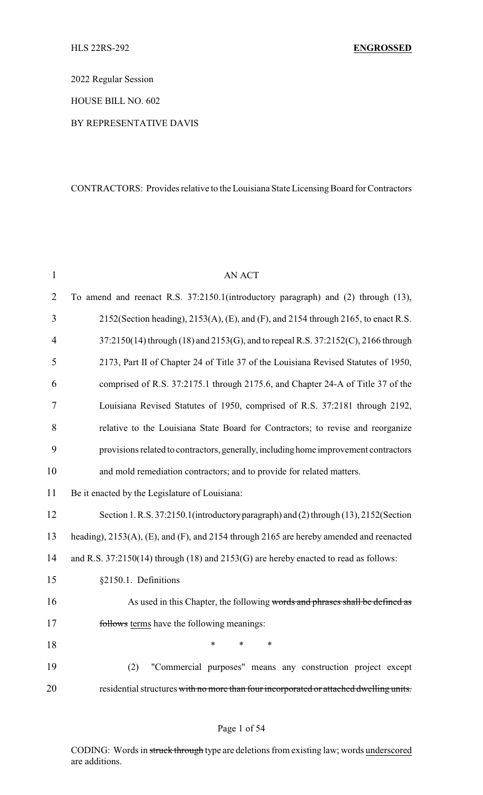2022 Regular Session

HOUSE BILL NO. 602

## BY REPRESENTATIVE DAVIS

## CONTRACTORS: Provides relative to the Louisiana State Licensing Board for Contractors

| $\mathbf{1}$   | <b>AN ACT</b>                                                                            |
|----------------|------------------------------------------------------------------------------------------|
| $\overline{2}$ | To amend and reenact R.S. 37:2150.1(introductory paragraph) and (2) through (13),        |
| 3              | 2152(Section heading), 2153(A), (E), and (F), and 2154 through 2165, to enact R.S.       |
| 4              | 37:2150(14) through (18) and 2153(G), and to repeal R.S. 37:2152(C), 2166 through        |
| 5              | 2173, Part II of Chapter 24 of Title 37 of the Louisiana Revised Statutes of 1950,       |
| 6              | comprised of R.S. 37:2175.1 through 2175.6, and Chapter 24-A of Title 37 of the          |
| 7              | Louisiana Revised Statutes of 1950, comprised of R.S. 37:2181 through 2192,              |
| 8              | relative to the Louisiana State Board for Contractors; to revise and reorganize          |
| 9              | provisions related to contractors, generally, including home improvement contractors     |
| 10             | and mold remediation contractors; and to provide for related matters.                    |
| 11             | Be it enacted by the Legislature of Louisiana:                                           |
| 12             | Section 1. R.S. 37:2150.1 (introductory paragraph) and (2) through (13), 2152 (Section   |
| 13             | heading), 2153(A), (E), and (F), and 2154 through 2165 are hereby amended and reenacted  |
| 14             | and R.S. $37:2150(14)$ through (18) and $2153(G)$ are hereby enacted to read as follows: |
| 15             | §2150.1. Definitions                                                                     |
| 16             | As used in this Chapter, the following words and phrases shall be defined as             |
| 17             | follows terms have the following meanings:                                               |
| 18             | *<br>$\ast$<br>*                                                                         |
| 19             | "Commercial purposes" means any construction project except<br>(2)                       |
| 20             | residential structures with no more than four incorporated or attached dwelling units.   |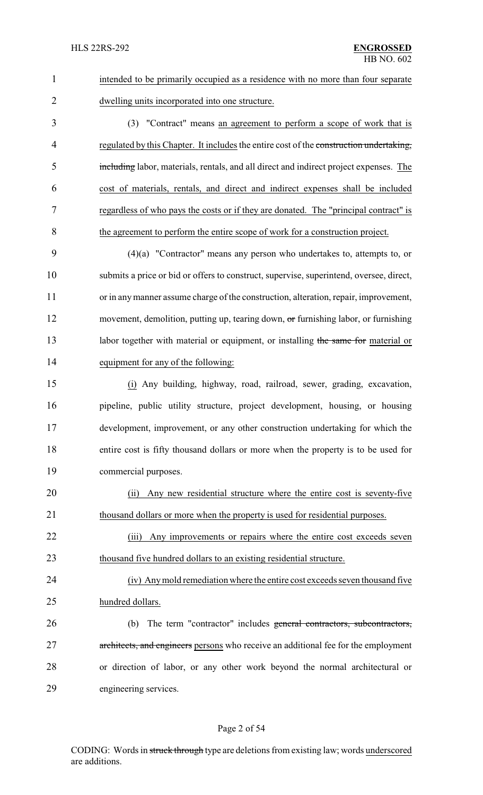| $\mathbf{1}$   | intended to be primarily occupied as a residence with no more than four separate        |
|----------------|-----------------------------------------------------------------------------------------|
| $\overline{2}$ | dwelling units incorporated into one structure.                                         |
| 3              | (3) "Contract" means an agreement to perform a scope of work that is                    |
| 4              | regulated by this Chapter. It includes the entire cost of the construction undertaking, |
| 5              | including labor, materials, rentals, and all direct and indirect project expenses. The  |
| 6              | cost of materials, rentals, and direct and indirect expenses shall be included          |
| $\tau$         | regardless of who pays the costs or if they are donated. The "principal contract" is    |
| 8              | the agreement to perform the entire scope of work for a construction project.           |
| 9              | $(4)(a)$ "Contractor" means any person who undertakes to, attempts to, or               |
| 10             | submits a price or bid or offers to construct, supervise, superintend, oversee, direct, |
| 11             | or in any manner assume charge of the construction, alteration, repair, improvement,    |
| 12             | movement, demolition, putting up, tearing down, or furnishing labor, or furnishing      |
| 13             | labor together with material or equipment, or installing the same for material or       |
| 14             | equipment for any of the following:                                                     |
| 15             | (i) Any building, highway, road, railroad, sewer, grading, excavation,                  |
| 16             | pipeline, public utility structure, project development, housing, or housing            |
| 17             | development, improvement, or any other construction undertaking for which the           |
| 18             | entire cost is fifty thousand dollars or more when the property is to be used for       |
| 19             | commercial purposes.                                                                    |
| 20             | Any new residential structure where the entire cost is seventy-five<br>(i)              |
| 21             | thousand dollars or more when the property is used for residential purposes.            |
| 22             | Any improvements or repairs where the entire cost exceeds seven<br>(iii)                |
| 23             | thousand five hundred dollars to an existing residential structure.                     |
| 24             | (iv) Any mold remediation where the entire cost exceeds seven thousand five             |
| 25             | hundred dollars.                                                                        |
| 26             | The term "contractor" includes general contractors, subcontractors,<br>(b)              |
| 27             | architects, and engineers persons who receive an additional fee for the employment      |
| 28             | or direction of labor, or any other work beyond the normal architectural or             |
| 29             | engineering services.                                                                   |
|                |                                                                                         |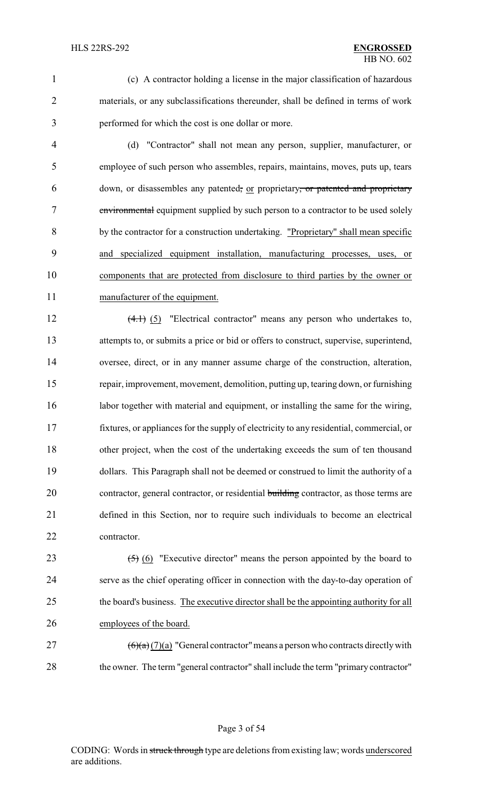(c) A contractor holding a license in the major classification of hazardous materials, or any subclassifications thereunder, shall be defined in terms of work performed for which the cost is one dollar or more.

 (d) "Contractor" shall not mean any person, supplier, manufacturer, or employee of such person who assembles, repairs, maintains, moves, puts up, tears 6 down, or disassembles any patented, or proprietary, or patented and proprietary environmental equipment supplied by such person to a contractor to be used solely by the contractor for a construction undertaking. "Proprietary" shall mean specific and specialized equipment installation, manufacturing processes, uses, or components that are protected from disclosure to third parties by the owner or manufacturer of the equipment.

12 (4.1) (5) "Electrical contractor" means any person who undertakes to, attempts to, or submits a price or bid or offers to construct, supervise, superintend, oversee, direct, or in any manner assume charge of the construction, alteration, repair, improvement, movement, demolition, putting up, tearing down, or furnishing 16 labor together with material and equipment, or installing the same for the wiring, fixtures, or appliances for the supply of electricity to any residential, commercial, or other project, when the cost of the undertaking exceeds the sum of ten thousand dollars. This Paragraph shall not be deemed or construed to limit the authority of a 20 contractor, general contractor, or residential building contractor, as those terms are defined in this Section, nor to require such individuals to become an electrical contractor.

 $(5)$  (6) "Executive director" means the person appointed by the board to serve as the chief operating officer in connection with the day-to-day operation of 25 the board's business. The executive director shall be the appointing authority for all employees of the board.

27  $(6)(a)(7)(a)$  "General contractor" means a person who contracts directly with 28 the owner. The term "general contractor" shall include the term "primary contractor"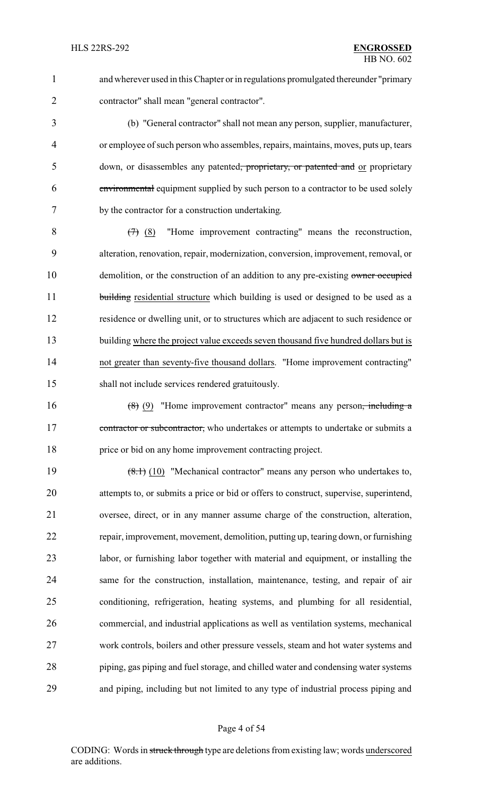and wherever used in this Chapter or in regulations promulgated thereunder "primary contractor" shall mean "general contractor".

 (b) "General contractor" shall not mean any person, supplier, manufacturer, or employee of such person who assembles, repairs, maintains, moves, puts up, tears 5 down, or disassembles any patented, proprietary, or patented and or proprietary environmental equipment supplied by such person to a contractor to be used solely by the contractor for a construction undertaking.

 $8 \left(7\right)$  (8) "Home improvement contracting" means the reconstruction, alteration, renovation, repair, modernization, conversion, improvement, removal, or 10 demolition, or the construction of an addition to any pre-existing owner occupied 11 building residential structure which building is used or designed to be used as a residence or dwelling unit, or to structures which are adjacent to such residence or 13 building where the project value exceeds seven thousand five hundred dollars but is not greater than seventy-five thousand dollars. "Home improvement contracting" shall not include services rendered gratuitously.

16  $(8)$  (9) "Home improvement contractor" means any person<del>, including a</del> 17 contractor or subcontractor, who undertakes or attempts to undertake or submits a price or bid on any home improvement contracting project.

19 (8.1) (10) "Mechanical contractor" means any person who undertakes to, attempts to, or submits a price or bid or offers to construct, supervise, superintend, oversee, direct, or in any manner assume charge of the construction, alteration, repair, improvement, movement, demolition, putting up, tearing down, or furnishing labor, or furnishing labor together with material and equipment, or installing the same for the construction, installation, maintenance, testing, and repair of air conditioning, refrigeration, heating systems, and plumbing for all residential, commercial, and industrial applications as well as ventilation systems, mechanical work controls, boilers and other pressure vessels, steam and hot water systems and piping, gas piping and fuel storage, and chilled water and condensing water systems and piping, including but not limited to any type of industrial process piping and

#### Page 4 of 54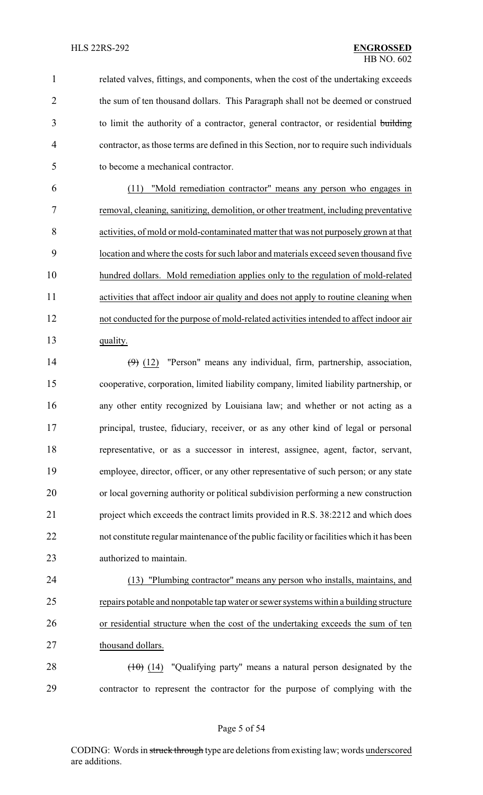related valves, fittings, and components, when the cost of the undertaking exceeds 2 the sum of ten thousand dollars. This Paragraph shall not be deemed or construed to limit the authority of a contractor, general contractor, or residential building contractor, as those terms are defined in this Section, nor to require such individuals to become a mechanical contractor.

 (11) "Mold remediation contractor" means any person who engages in removal, cleaning, sanitizing, demolition, or other treatment, including preventative activities, of mold or mold-contaminated matter that was not purposely grown at that location and where the costs for such labor and materials exceed seven thousand five hundred dollars. Mold remediation applies only to the regulation of mold-related activities that affect indoor air quality and does not apply to routine cleaning when not conducted for the purpose of mold-related activities intended to affect indoor air 13 quality.

 (9) (12) "Person" means any individual, firm, partnership, association, cooperative, corporation, limited liability company, limited liability partnership, or any other entity recognized by Louisiana law; and whether or not acting as a principal, trustee, fiduciary, receiver, or as any other kind of legal or personal representative, or as a successor in interest, assignee, agent, factor, servant, employee, director, officer, or any other representative of such person; or any state or local governing authority or political subdivision performing a new construction project which exceeds the contract limits provided in R.S. 38:2212 and which does not constitute regular maintenance of the public facility or facilities which it has been authorized to maintain.

 (13) "Plumbing contractor" means any person who installs, maintains, and repairs potable and nonpotable tap water or sewer systems within a building structure or residential structure when the cost of the undertaking exceeds the sum of ten 27 thousand dollars.

28  $(10)(14)$  "Qualifying party" means a natural person designated by the contractor to represent the contractor for the purpose of complying with the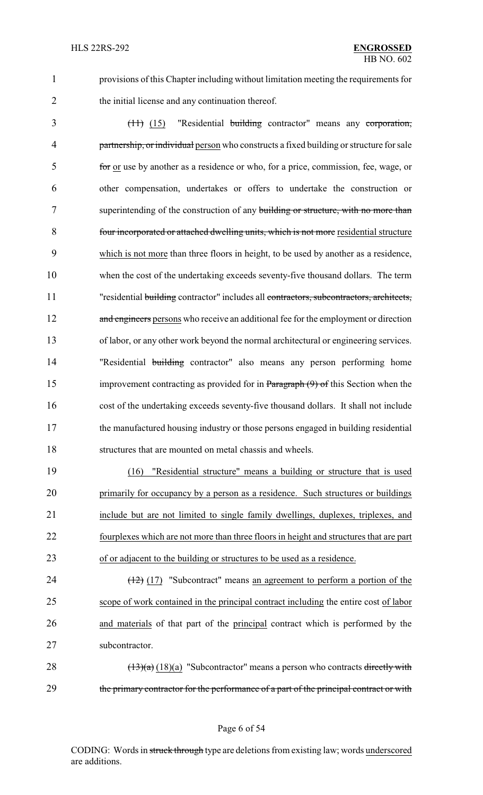1 provisions of this Chapter including without limitation meeting the requirements for 2 the initial license and any continuation thereof.

 (11) (15) "Residential building contractor" means any corporation, 4 partnership, or individual person who constructs a fixed building or structure for sale for or use by another as a residence or who, for a price, commission, fee, wage, or other compensation, undertakes or offers to undertake the construction or 7 superintending of the construction of any building or structure, with no more than four incorporated or attached dwelling units, which is not more residential structure which is not more than three floors in height, to be used by another as a residence, when the cost of the undertaking exceeds seventy-five thousand dollars. The term 11 "residential building contractor" includes all contractors, subcontractors, architects, 12 and engineers persons who receive an additional fee for the employment or direction of labor, or any other work beyond the normal architectural or engineering services. 14 "Residential building contractor" also means any person performing home 15 improvement contracting as provided for in Paragraph (9) of this Section when the cost of the undertaking exceeds seventy-five thousand dollars. It shall not include the manufactured housing industry or those persons engaged in building residential structures that are mounted on metal chassis and wheels.

 (16) "Residential structure" means a building or structure that is used primarily for occupancy by a person as a residence. Such structures or buildings include but are not limited to single family dwellings, duplexes, triplexes, and fourplexes which are not more than three floors in height and structures that are part of or adjacent to the building or structures to be used as a residence.

 $\left(\frac{12}{2}\right)$  (17) "Subcontract" means an agreement to perform a portion of the scope of work contained in the principal contract including the entire cost of labor and materials of that part of the principal contract which is performed by the subcontractor.

28  $(13)(a)$  (18)(a) "Subcontractor" means a person who contracts directly with 29 the primary contractor for the performance of a part of the principal contract or with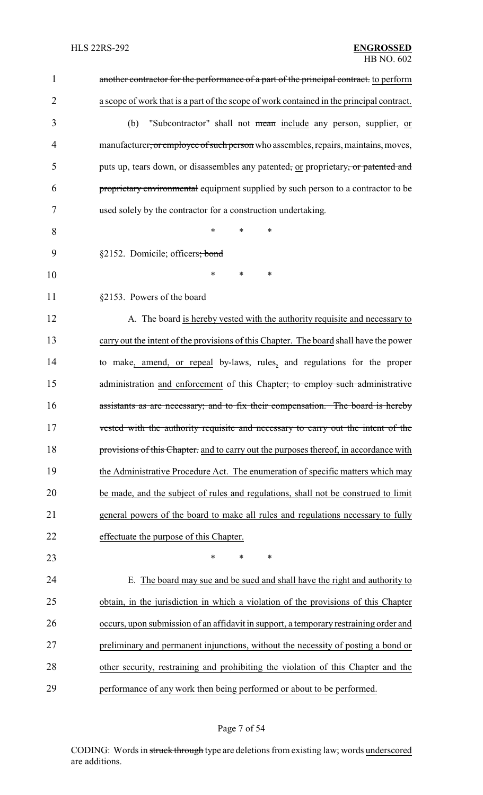| $\mathbf{1}$   | another contractor for the performance of a part of the principal contract. to perform   |
|----------------|------------------------------------------------------------------------------------------|
| $\overline{2}$ | a scope of work that is a part of the scope of work contained in the principal contract. |
| 3              | "Subcontractor" shall not mean include any person, supplier, or<br>(b)                   |
| 4              | manufacturer, or employee of such person who assembles, repairs, maintains, moves,       |
| 5              | puts up, tears down, or disassembles any patented, or proprietary, or patented and       |
| 6              | proprietary environmental equipment supplied by such person to a contractor to be        |
| 7              | used solely by the contractor for a construction undertaking.                            |
| 8              | $\ast$<br>*<br>$\ast$                                                                    |
| 9              | §2152. Domicile; officers; bond                                                          |
| 10             | *<br>*<br>∗                                                                              |
| 11             | §2153. Powers of the board                                                               |
| 12             | A. The board is hereby vested with the authority requisite and necessary to              |
| 13             | carry out the intent of the provisions of this Chapter. The board shall have the power   |
| 14             | to make, amend, or repeal by-laws, rules, and regulations for the proper                 |
| 15             | administration and enforcement of this Chapter; to employ such administrative            |
| 16             | assistants as are necessary; and to fix their compensation. The board is hereby          |
| 17             | vested with the authority requisite and necessary to carry out the intent of the         |
| 18             | provisions of this Chapter. and to carry out the purposes thereof, in accordance with    |
| 19             | the Administrative Procedure Act. The enumeration of specific matters which may          |
| 20             | be made, and the subject of rules and regulations, shall not be construed to limit       |
| 21             | general powers of the board to make all rules and regulations necessary to fully         |
| 22             | effectuate the purpose of this Chapter.                                                  |
| 23             | $\ast$<br>$\ast$<br>$\ast$                                                               |
| 24             | E. The board may sue and be sued and shall have the right and authority to               |
| 25             | obtain, in the jurisdiction in which a violation of the provisions of this Chapter       |
| 26             | occurs, upon submission of an affidavit in support, a temporary restraining order and    |
| 27             | preliminary and permanent injunctions, without the necessity of posting a bond or        |
| 28             | other security, restraining and prohibiting the violation of this Chapter and the        |
| 29             | performance of any work then being performed or about to be performed.                   |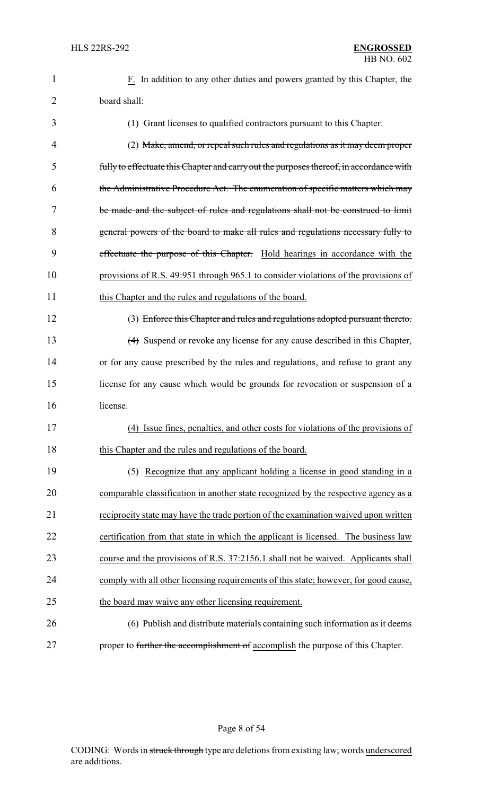| 1              | F. In addition to any other duties and powers granted by this Chapter, the              |
|----------------|-----------------------------------------------------------------------------------------|
| $\overline{2}$ | board shall:                                                                            |
| 3              | (1) Grant licenses to qualified contractors pursuant to this Chapter.                   |
| 4              | (2) Make, amend, or repeal such rules and regulations as it may deem proper             |
| 5              | fully to effectuate this Chapter and carry out the purposes thereof, in accordance with |
| 6              | the Administrative Procedure Act. The enumeration of specific matters which may         |
| 7              | be made and the subject of rules and regulations shall not be construed to limit        |
| 8              | general powers of the board to make all rules and regulations necessary fully to        |
| 9              | effectuate the purpose of this Chapter. Hold hearings in accordance with the            |
| 10             | provisions of R.S. 49:951 through 965.1 to consider violations of the provisions of     |
| 11             | this Chapter and the rules and regulations of the board.                                |
| 12             | (3) Enforce this Chapter and rules and regulations adopted pursuant thereto.            |
| 13             | (4) Suspend or revoke any license for any cause described in this Chapter,              |
| 14             | or for any cause prescribed by the rules and regulations, and refuse to grant any       |
| 15             | license for any cause which would be grounds for revocation or suspension of a          |
| 16             | license.                                                                                |
| 17             | (4) Issue fines, penalties, and other costs for violations of the provisions of         |
| 18             | this Chapter and the rules and regulations of the board.                                |
| 19             | (5) Recognize that any applicant holding a license in good standing in a                |
| 20             | comparable classification in another state recognized by the respective agency as a     |
| 21             | reciprocity state may have the trade portion of the examination waived upon written     |
| 22             | certification from that state in which the applicant is licensed. The business law      |
| 23             | course and the provisions of R.S. 37:2156.1 shall not be waived. Applicants shall       |
| 24             | comply with all other licensing requirements of this state; however, for good cause,    |
| 25             | the board may waive any other licensing requirement.                                    |
| 26             | (6) Publish and distribute materials containing such information as it deems            |
| 27             | proper to further the accomplishment of accomplish the purpose of this Chapter.         |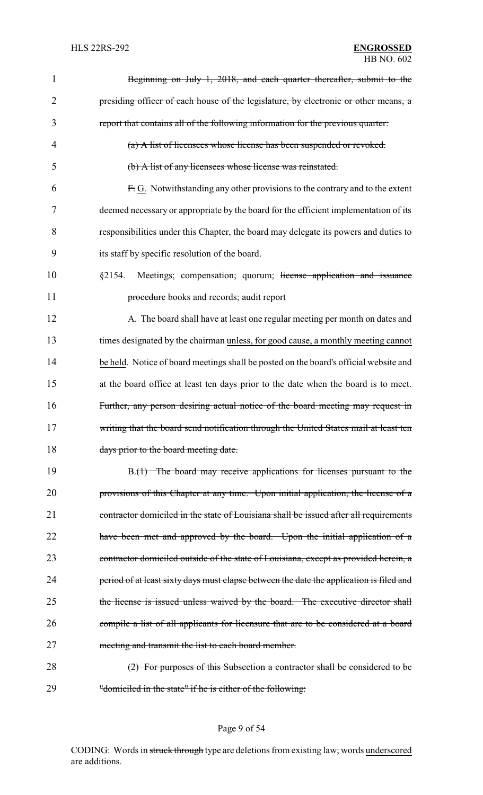| 1              | Beginning on July 1, 2018, and each quarter thereafter, submit to the                   |
|----------------|-----------------------------------------------------------------------------------------|
| $\overline{2}$ | presiding officer of each house of the legislature, by electronic or other means, a     |
| 3              | report that contains all of the following information for the previous quarter:         |
| $\overline{4}$ | (a) A list of licensees whose license has been suspended or revoked.                    |
| 5              | (b) A list of any licensees whose license was reinstated.                               |
| 6              | F.G. Notwithstanding any other provisions to the contrary and to the extent             |
| 7              | deemed necessary or appropriate by the board for the efficient implementation of its    |
| 8              | responsibilities under this Chapter, the board may delegate its powers and duties to    |
| 9              | its staff by specific resolution of the board.                                          |
| 10             | Meetings; compensation; quorum; license application and issuance<br>§2154.              |
| 11             | procedure books and records; audit report                                               |
| 12             | A. The board shall have at least one regular meeting per month on dates and             |
| 13             | times designated by the chairman unless, for good cause, a monthly meeting cannot       |
| 14             | be held. Notice of board meetings shall be posted on the board's official website and   |
| 15             | at the board office at least ten days prior to the date when the board is to meet.      |
| 16             | Further, any person desiring actual notice of the board meeting may request in          |
| 17             | writing that the board send notification through the United States mail at least ten    |
| 18             | days prior to the board meeting date.                                                   |
| 19             | B.(1) The board may receive applications for licenses pursuant to the                   |
| 20             | provisions of this Chapter at any time. Upon initial application, the license of a      |
| 21             | contractor domiciled in the state of Louisiana shall be issued after all requirements   |
| 22             | have been met and approved by the board. Upon the initial application of a              |
| 23             | contractor domiciled outside of the state of Louisiana, except as provided herein, a    |
| 24             | period of at least sixty days must elapse between the date the application is filed and |
| 25             | the license is issued unless waived by the board. The executive director shall          |
| 26             | compile a list of all applicants for licensure that are to be considered at a board     |
| 27             | meeting and transmit the list to each board member.                                     |
| 28             | (2) For purposes of this Subsection a contractor shall be considered to be              |
| 29             | "domiciled in the state" if he is either of the following:                              |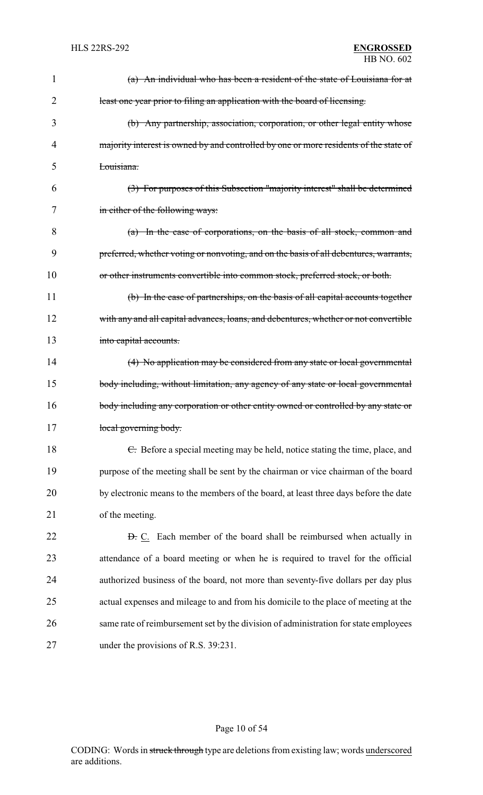| $\mathbf 1$    | (a) An individual who has been a resident of the state of Louisiana for at            |
|----------------|---------------------------------------------------------------------------------------|
| $\overline{2}$ | least one year prior to filing an application with the board of licensing.            |
| 3              | (b) Any partnership, association, corporation, or other legal entity whose            |
| 4              | majority interest is owned by and controlled by one or more residents of the state of |
| 5              | Louisiana.                                                                            |
| 6              | (3) For purposes of this Subsection "majority interest" shall be determined           |
| 7              | in either of the following ways:                                                      |
| 8              | (a) In the case of corporations, on the basis of all stock, common and                |
| 9              | preferred, whether voting or nonvoting, and on the basis of all debentures, warrants, |
| 10             | or other instruments convertible into common stock, preferred stock, or both.         |
| 11             | (b) In the case of partnerships, on the basis of all capital accounts together        |
| 12             | with any and all capital advances, loans, and debentures, whether or not convertible  |
| 13             | into capital accounts.                                                                |
| 14             | (4) No application may be considered from any state or local governmental             |
| 15             | body including, without limitation, any agency of any state or local governmental     |
| 16             | body including any corporation or other entity owned or controlled by any state or    |
| 17             | local governing body.                                                                 |
| 18             | E. Before a special meeting may be held, notice stating the time, place, and          |
| 19             | purpose of the meeting shall be sent by the chairman or vice chairman of the board    |
| 20             | by electronic means to the members of the board, at least three days before the date  |
| 21             | of the meeting.                                                                       |
| 22             | <b>D.</b> C. Each member of the board shall be reimbursed when actually in            |
| 23             | attendance of a board meeting or when he is required to travel for the official       |
| 24             | authorized business of the board, not more than seventy-five dollars per day plus     |
| 25             | actual expenses and mileage to and from his domicile to the place of meeting at the   |
| 26             | same rate of reimbursement set by the division of administration for state employees  |
| 27             | under the provisions of R.S. 39:231.                                                  |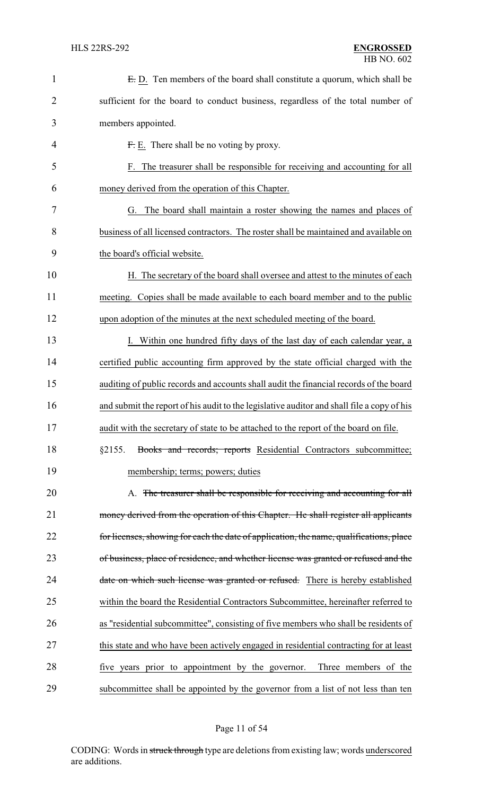| $\mathbf{1}$ | E.D. Ten members of the board shall constitute a quorum, which shall be                    |
|--------------|--------------------------------------------------------------------------------------------|
| 2            | sufficient for the board to conduct business, regardless of the total number of            |
| 3            | members appointed.                                                                         |
| 4            | $Fr$ E. There shall be no voting by proxy.                                                 |
| 5            | F. The treasurer shall be responsible for receiving and accounting for all                 |
| 6            | money derived from the operation of this Chapter.                                          |
| 7            | G. The board shall maintain a roster showing the names and places of                       |
| 8            | business of all licensed contractors. The roster shall be maintained and available on      |
| 9            | the board's official website.                                                              |
| 10           | H. The secretary of the board shall oversee and attest to the minutes of each              |
| 11           | meeting. Copies shall be made available to each board member and to the public             |
| 12           | upon adoption of the minutes at the next scheduled meeting of the board.                   |
| 13           | I. Within one hundred fifty days of the last day of each calendar year, a                  |
| 14           | certified public accounting firm approved by the state official charged with the           |
| 15           | auditing of public records and accounts shall audit the financial records of the board     |
| 16           | and submit the report of his audit to the legislative auditor and shall file a copy of his |
| 17           | audit with the secretary of state to be attached to the report of the board on file        |
| 18           | §2155.<br>Books and records; reports Residential Contractors subcommittee;                 |
| 19           | membership; terms; powers; duties                                                          |
| 20           | A. The treasurer shall be responsible for receiving and accounting for all                 |
| 21           | money derived from the operation of this Chapter. He shall register all applicants         |
| 22           | for licenses, showing for each the date of application, the name, qualifications, place    |
| 23           | of business, place of residence, and whether license was granted or refused and the        |
| 24           | date on which such license was granted or refused. There is hereby established             |
| 25           | within the board the Residential Contractors Subcommittee, hereinafter referred to         |
| 26           | as "residential subcommittee", consisting of five members who shall be residents of        |
| 27           | this state and who have been actively engaged in residential contracting for at least      |
| 28           | five years prior to appointment by the governor. Three members of the                      |
| 29           | subcommittee shall be appointed by the governor from a list of not less than ten           |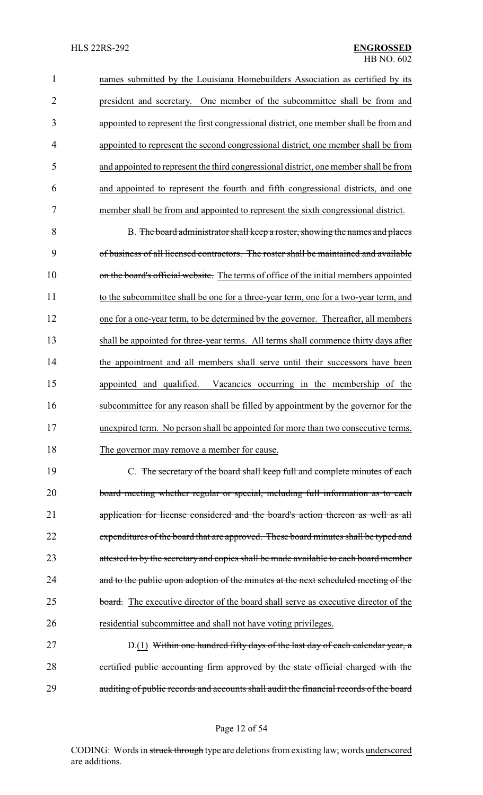names submitted by the Louisiana Homebuilders Association as certified by its president and secretary. One member of the subcommittee shall be from and appointed to represent the first congressional district, one member shall be from and appointed to represent the second congressional district, one member shall be from and appointed to represent the third congressional district, one member shall be from and appointed to represent the fourth and fifth congressional districts, and one member shall be from and appointed to represent the sixth congressional district.

 B. The board administrator shall keep a roster, showing the names and places of business of all licensed contractors. The roster shall be maintained and available 10 on the board's official website. The terms of office of the initial members appointed to the subcommittee shall be one for a three-year term, one for a two-year term, and one for a one-year term, to be determined by the governor. Thereafter, all members shall be appointed for three-year terms. All terms shall commence thirty days after the appointment and all members shall serve until their successors have been appointed and qualified. Vacancies occurring in the membership of the subcommittee for any reason shall be filled by appointment by the governor for the unexpired term. No person shall be appointed for more than two consecutive terms. 18 The governor may remove a member for cause.

 C. The secretary of the board shall keep full and complete minutes of each board meeting whether regular or special, including full information as to each application for license considered and the board's action thereon as well as all 22 expenditures of the board that are approved. These board minutes shall be typed and 23 attested to by the secretary and copies shall be made available to each board member 24 and to the public upon adoption of the minutes at the next scheduled meeting of the 25 board. The executive director of the board shall serve as executive director of the residential subcommittee and shall not have voting privileges.

27 D.(1) Within one hundred fifty days of the last day of each calendar year, a certified public accounting firm approved by the state official charged with the auditing of public records and accounts shall audit the financial records of the board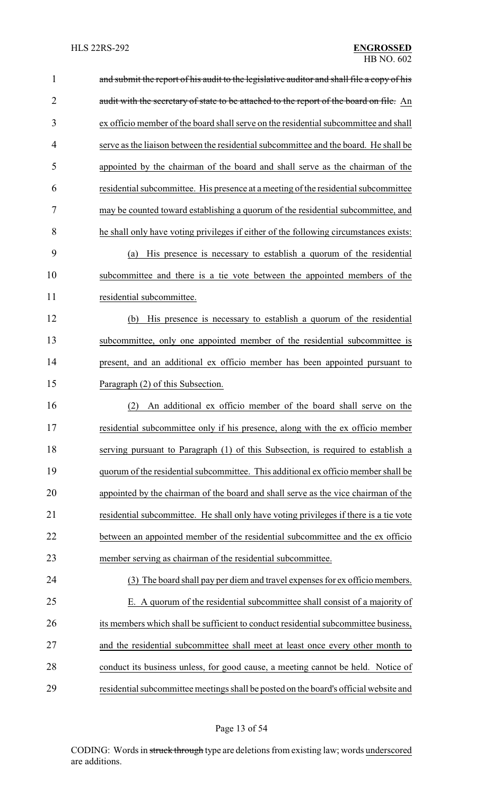| $\mathbf{1}$   | and submit the report of his audit to the legislative auditor and shall file a copy of his |
|----------------|--------------------------------------------------------------------------------------------|
| $\overline{2}$ | audit with the secretary of state to be attached to the report of the board on file. An    |
| 3              | ex officio member of the board shall serve on the residential subcommittee and shall       |
| 4              | serve as the liaison between the residential subcommittee and the board. He shall be       |
| 5              | appointed by the chairman of the board and shall serve as the chairman of the              |
| 6              | residential subcommittee. His presence at a meeting of the residential subcommittee        |
| 7              | may be counted toward establishing a quorum of the residential subcommittee, and           |
| 8              | he shall only have voting privileges if either of the following circumstances exists:      |
| 9              | His presence is necessary to establish a quorum of the residential<br>(a)                  |
| 10             | subcommittee and there is a tie vote between the appointed members of the                  |
| 11             | residential subcommittee.                                                                  |
| 12             | His presence is necessary to establish a quorum of the residential<br>(b)                  |
| 13             | subcommittee, only one appointed member of the residential subcommittee is                 |
| 14             | present, and an additional ex officio member has been appointed pursuant to                |
| 15             | Paragraph (2) of this Subsection.                                                          |
| 16             | An additional ex officio member of the board shall serve on the<br>(2)                     |
| 17             | residential subcommittee only if his presence, along with the ex officio member            |
| 18             | serving pursuant to Paragraph (1) of this Subsection, is required to establish a           |
| 19             | quorum of the residential subcommittee. This additional ex officio member shall be         |
| 20             | appointed by the chairman of the board and shall serve as the vice chairman of the         |
| 21             | residential subcommittee. He shall only have voting privileges if there is a tie vote      |
| 22             | between an appointed member of the residential subcommittee and the ex officio             |
| 23             | member serving as chairman of the residential subcommittee.                                |
| 24             | (3) The board shall pay per diem and travel expenses for ex officio members.               |
| 25             | E. A quorum of the residential subcommittee shall consist of a majority of                 |
| 26             | its members which shall be sufficient to conduct residential subcommittee business,        |
| 27             | and the residential subcommittee shall meet at least once every other month to             |
| 28             | conduct its business unless, for good cause, a meeting cannot be held. Notice of           |
| 29             | residential subcommittee meetings shall be posted on the board's official website and      |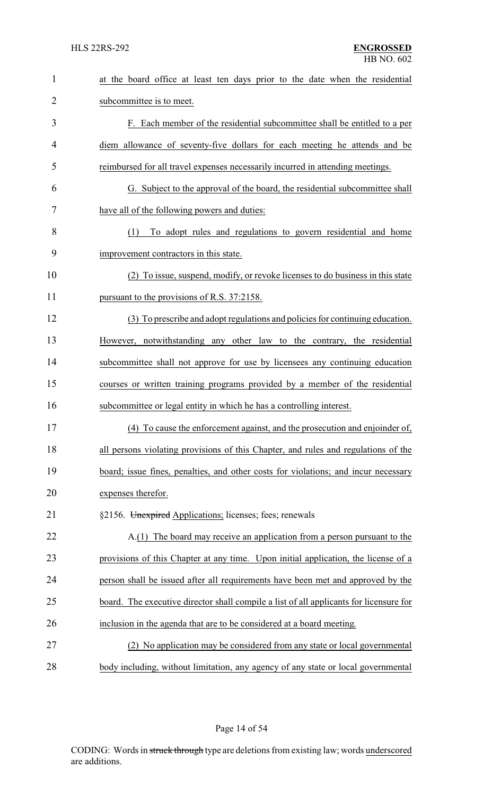| $\mathbf{1}$   | at the board office at least ten days prior to the date when the residential           |
|----------------|----------------------------------------------------------------------------------------|
| $\overline{2}$ | subcommittee is to meet.                                                               |
| 3              | F. Each member of the residential subcommittee shall be entitled to a per              |
| 4              | diem allowance of seventy-five dollars for each meeting he attends and be              |
| 5              | reimbursed for all travel expenses necessarily incurred in attending meetings.         |
| 6              | G. Subject to the approval of the board, the residential subcommittee shall            |
| 7              | have all of the following powers and duties:                                           |
| 8              | To adopt rules and regulations to govern residential and home<br>(1)                   |
| 9              | improvement contractors in this state.                                                 |
| 10             | (2) To issue, suspend, modify, or revoke licenses to do business in this state         |
| 11             | pursuant to the provisions of R.S. 37:2158.                                            |
| 12             | (3) To prescribe and adopt regulations and policies for continuing education.          |
| 13             | However, notwithstanding any other law to the contrary, the residential                |
| 14             | subcommittee shall not approve for use by licensees any continuing education           |
| 15             | courses or written training programs provided by a member of the residential           |
| 16             | subcommittee or legal entity in which he has a controlling interest.                   |
| 17             | (4) To cause the enforcement against, and the prosecution and enjoinder of,            |
| 18             | all persons violating provisions of this Chapter, and rules and regulations of the     |
| 19             | board; issue fines, penalties, and other costs for violations; and incur necessary     |
| 20             | expenses therefor.                                                                     |
| 21             | §2156. Unexpired Applications; licenses; fees; renewals                                |
| 22             | A.(1) The board may receive an application from a person pursuant to the               |
| 23             | provisions of this Chapter at any time. Upon initial application, the license of a     |
| 24             | person shall be issued after all requirements have been met and approved by the        |
| 25             | board. The executive director shall compile a list of all applicants for licensure for |
| 26             | inclusion in the agenda that are to be considered at a board meeting.                  |
| 27             | (2) No application may be considered from any state or local governmental              |
| 28             | body including, without limitation, any agency of any state or local governmental      |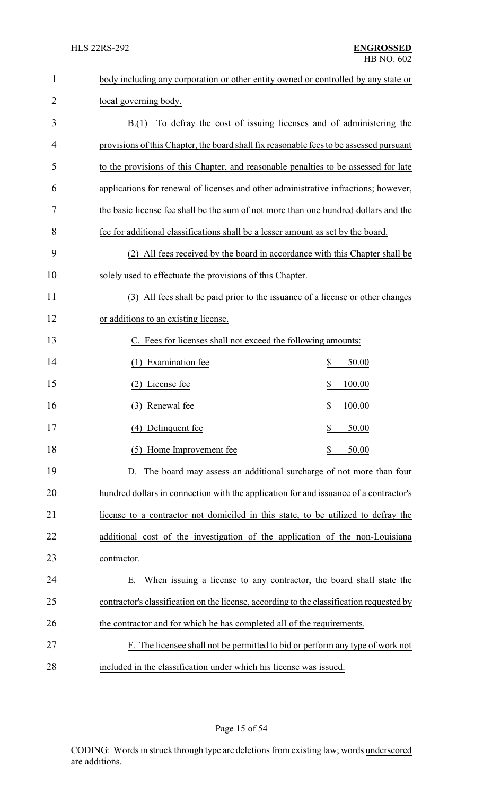| $\mathbf{1}$   | body including any corporation or other entity owned or controlled by any state or       |
|----------------|------------------------------------------------------------------------------------------|
| $\overline{2}$ | local governing body.                                                                    |
| 3              | To defray the cost of issuing licenses and of administering the<br>B(1)                  |
| 4              | provisions of this Chapter, the board shall fix reasonable fees to be assessed pursuant  |
| 5              | to the provisions of this Chapter, and reasonable penalties to be assessed for late      |
| 6              | applications for renewal of licenses and other administrative infractions; however,      |
| 7              | the basic license fee shall be the sum of not more than one hundred dollars and the      |
| 8              | fee for additional classifications shall be a lesser amount as set by the board.         |
| 9              | (2) All fees received by the board in accordance with this Chapter shall be              |
| 10             | solely used to effectuate the provisions of this Chapter.                                |
| 11             | (3) All fees shall be paid prior to the issuance of a license or other changes           |
| 12             | or additions to an existing license.                                                     |
| 13             | C. Fees for licenses shall not exceed the following amounts:                             |
| 14             | \$<br>(1) Examination fee<br>50.00                                                       |
| 15             | (2) License fee<br>\$<br>100.00                                                          |
| 16             | \$<br>(3) Renewal fee<br>100.00                                                          |
| 17             | (4) Delinquent fee<br>\$<br>50.00                                                        |
| 18             | (5) Home Improvement fee<br>\$<br>50.00                                                  |
| 19             | The board may assess an additional surcharge of not more than four                       |
| 20             | hundred dollars in connection with the application for and issuance of a contractor's    |
| 21             | license to a contractor not domiciled in this state, to be utilized to defray the        |
| 22             | additional cost of the investigation of the application of the non-Louisiana             |
| 23             | contractor.                                                                              |
| 24             | When issuing a license to any contractor, the board shall state the<br>Е.                |
| 25             | contractor's classification on the license, according to the classification requested by |
| 26             | the contractor and for which he has completed all of the requirements.                   |
| 27             | F. The licensee shall not be permitted to bid or perform any type of work not            |
| 28             | included in the classification under which his license was issued.                       |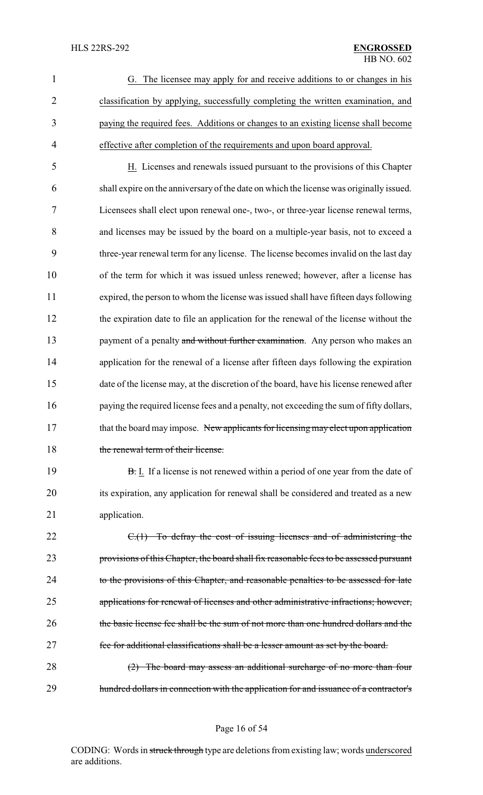|   | G. The licensee may apply for and receive additions to or changes in his           |
|---|------------------------------------------------------------------------------------|
| 2 | classification by applying, successfully completing the written examination, and   |
| 3 | paying the required fees. Additions or changes to an existing license shall become |
| 4 | effective after completion of the requirements and upon board approval.            |

 H. Licenses and renewals issued pursuant to the provisions of this Chapter shall expire on the anniversary of the date on which the license was originally issued. Licensees shall elect upon renewal one-, two-, or three-year license renewal terms, and licenses may be issued by the board on a multiple-year basis, not to exceed a three-year renewal term for any license. The license becomes invalid on the last day of the term for which it was issued unless renewed; however, after a license has expired, the person to whom the license was issued shall have fifteen days following the expiration date to file an application for the renewal of the license without the 13 payment of a penalty and without further examination. Any person who makes an 14 application for the renewal of a license after fifteen days following the expiration date of the license may, at the discretion of the board, have his license renewed after paying the required license fees and a penalty, not exceeding the sum of fifty dollars, 17 that the board may impose. New applicants for licensing may elect upon application 18 the renewal term of their license.

19 **B.** I. If a license is not renewed within a period of one year from the date of 20 its expiration, any application for renewal shall be considered and treated as a new 21 application.

22 C.(1) To defray the cost of issuing licenses and of administering the 23 provisions of this Chapter, the board shall fix reasonable fees to be assessed pursuant 24 to the provisions of this Chapter, and reasonable penalties to be assessed for late 25 applications for renewal of licenses and other administrative infractions; however, 26 the basic license fee shall be the sum of not more than one hundred dollars and the 27 fee for additional classifications shall be a lesser amount as set by the board.

28 (2) The board may assess an additional surcharge of no more than four 29 hundred dollars in connection with the application for and issuance of a contractor's

Page 16 of 54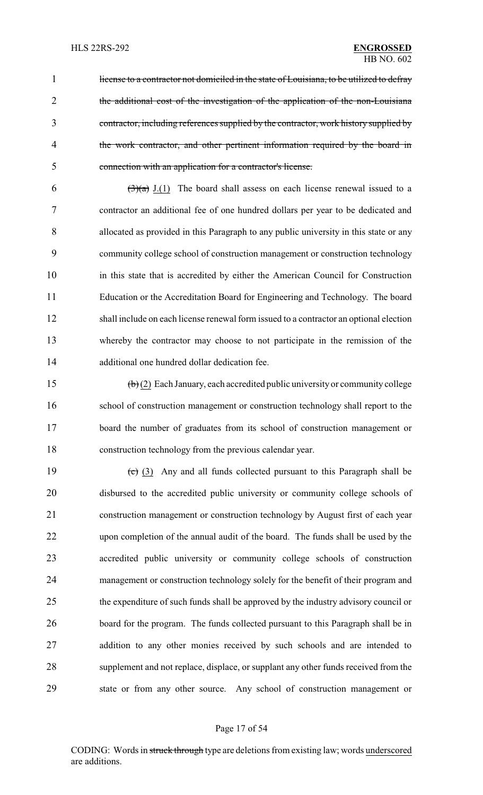1 license to a contractor not domiciled in the state of Louisiana, to be utilized to defray the additional cost of the investigation of the application of the non-Louisiana contractor, including references supplied by the contractor, work history supplied by 4 the work contractor, and other pertinent information required by the board in connection with an application for a contractor's license.

 $(3)(a)$  J.(1) The board shall assess on each license renewal issued to a contractor an additional fee of one hundred dollars per year to be dedicated and allocated as provided in this Paragraph to any public university in this state or any community college school of construction management or construction technology in this state that is accredited by either the American Council for Construction Education or the Accreditation Board for Engineering and Technology. The board shall include on each license renewal form issued to a contractor an optional election whereby the contractor may choose to not participate in the remission of the additional one hundred dollar dedication fee.

 $(b)(2)$  Each January, each accredited public university or community college school of construction management or construction technology shall report to the board the number of graduates from its school of construction management or construction technology from the previous calendar year.

 $\left(\frac{c}{c}\right)$  (3) Any and all funds collected pursuant to this Paragraph shall be disbursed to the accredited public university or community college schools of construction management or construction technology by August first of each year upon completion of the annual audit of the board. The funds shall be used by the accredited public university or community college schools of construction management or construction technology solely for the benefit of their program and the expenditure of such funds shall be approved by the industry advisory council or board for the program. The funds collected pursuant to this Paragraph shall be in addition to any other monies received by such schools and are intended to supplement and not replace, displace, or supplant any other funds received from the state or from any other source. Any school of construction management or

### Page 17 of 54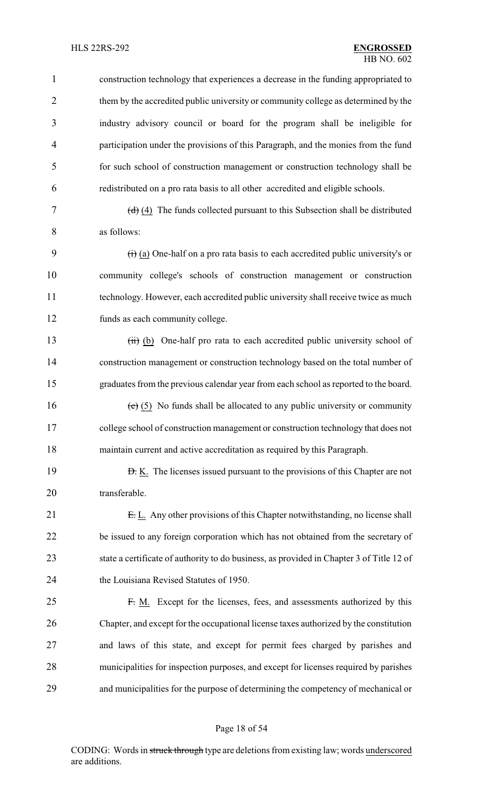### HLS 22RS-292 **ENGROSSED**

 construction technology that experiences a decrease in the funding appropriated to them by the accredited public university or community college as determined by the industry advisory council or board for the program shall be ineligible for participation under the provisions of this Paragraph, and the monies from the fund for such school of construction management or construction technology shall be redistributed on a pro rata basis to all other accredited and eligible schools.

7  $(d)$   $(4)$  The funds collected pursuant to this Subsection shall be distributed as follows:

 $\left(\frac{1}{1}\right)$  (a) One-half on a pro rata basis to each accredited public university's or community college's schools of construction management or construction technology. However, each accredited public university shall receive twice as much funds as each community college.

13 (iii) (b) One-half pro rata to each accredited public university school of construction management or construction technology based on the total number of graduates from the previous calendar year from each school as reported to the board.

16 (e)  $(5)$  No funds shall be allocated to any public university or community college school of construction management or construction technology that does not maintain current and active accreditation as required by this Paragraph.

**D.** K. The licenses issued pursuant to the provisions of this Chapter are not 20 transferable.

21 E. L. Any other provisions of this Chapter notwithstanding, no license shall be issued to any foreign corporation which has not obtained from the secretary of state a certificate of authority to do business, as provided in Chapter 3 of Title 12 of the Louisiana Revised Statutes of 1950.

 F. M. Except for the licenses, fees, and assessments authorized by this Chapter, and except for the occupational license taxes authorized by the constitution and laws of this state, and except for permit fees charged by parishes and municipalities for inspection purposes, and except for licenses required by parishes and municipalities for the purpose of determining the competency of mechanical or

#### Page 18 of 54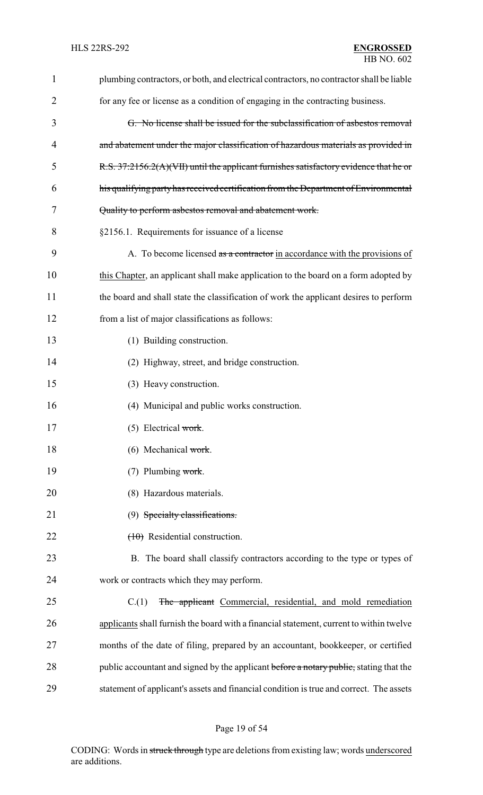| $\mathbf{1}$ | plumbing contractors, or both, and electrical contractors, no contractor shall be liable |
|--------------|------------------------------------------------------------------------------------------|
| 2            | for any fee or license as a condition of engaging in the contracting business.           |
| 3            | G. No license shall be issued for the subclassification of asbestos removal              |
| 4            | and abatement under the major classification of hazardous materials as provided in       |
| 5            | R.S. 37:2156.2(A)(VII) until the applicant furnishes satisfactory evidence that he or    |
| 6            | his qualifying party has received certification from the Department of Environmental     |
| 7            | Quality to perform asbestos removal and abatement work.                                  |
| 8            | §2156.1. Requirements for issuance of a license                                          |
| 9            | A. To become licensed as a contractor in accordance with the provisions of               |
| 10           | this Chapter, an applicant shall make application to the board on a form adopted by      |
| 11           | the board and shall state the classification of work the applicant desires to perform    |
| 12           | from a list of major classifications as follows:                                         |
| 13           | (1) Building construction.                                                               |
| 14           | (2) Highway, street, and bridge construction.                                            |
| 15           | (3) Heavy construction.                                                                  |
| 16           | (4) Municipal and public works construction.                                             |
| 17           | $(5)$ Electrical work.                                                                   |
| 18           | (6) Mechanical work.                                                                     |
| 19           | $(7)$ Plumbing work.                                                                     |
| 20           | (8) Hazardous materials.                                                                 |
| 21           | (9) Specialty classifications.                                                           |
| 22           | $(10)$ Residential construction.                                                         |
| 23           | B. The board shall classify contractors according to the type or types of                |
| 24           | work or contracts which they may perform.                                                |
| 25           | The applicant Commercial, residential, and mold remediation<br>C(1)                      |
| 26           | applicants shall furnish the board with a financial statement, current to within twelve  |
| 27           | months of the date of filing, prepared by an accountant, bookkeeper, or certified        |
| 28           | public accountant and signed by the applicant before a notary public, stating that the   |
| 29           | statement of applicant's assets and financial condition is true and correct. The assets  |

# Page 19 of 54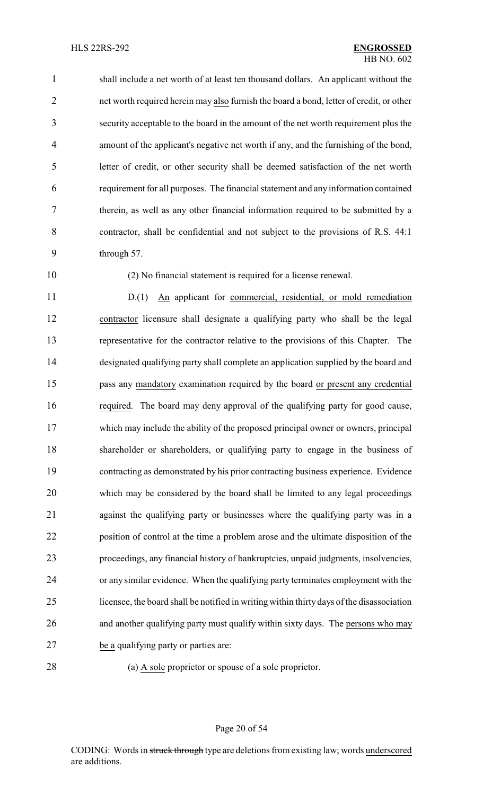shall include a net worth of at least ten thousand dollars. An applicant without the net worth required herein may also furnish the board a bond, letter of credit, or other security acceptable to the board in the amount of the net worth requirement plus the amount of the applicant's negative net worth if any, and the furnishing of the bond, letter of credit, or other security shall be deemed satisfaction of the net worth requirement for all purposes. The financial statement and any information contained therein, as well as any other financial information required to be submitted by a contractor, shall be confidential and not subject to the provisions of R.S. 44:1 through 57.

(2) No financial statement is required for a license renewal.

 D.(1) An applicant for commercial, residential, or mold remediation contractor licensure shall designate a qualifying party who shall be the legal representative for the contractor relative to the provisions of this Chapter. The designated qualifying party shall complete an application supplied by the board and pass any mandatory examination required by the board or present any credential required. The board may deny approval of the qualifying party for good cause, which may include the ability of the proposed principal owner or owners, principal shareholder or shareholders, or qualifying party to engage in the business of contracting as demonstrated by his prior contracting business experience. Evidence which may be considered by the board shall be limited to any legal proceedings against the qualifying party or businesses where the qualifying party was in a position of control at the time a problem arose and the ultimate disposition of the proceedings, any financial history of bankruptcies, unpaid judgments, insolvencies, or any similar evidence. When the qualifying party terminates employment with the licensee, the board shall be notified in writing within thirty days of the disassociation and another qualifying party must qualify within sixty days. The persons who may be a qualifying party or parties are:

(a) A sole proprietor or spouse of a sole proprietor.

Page 20 of 54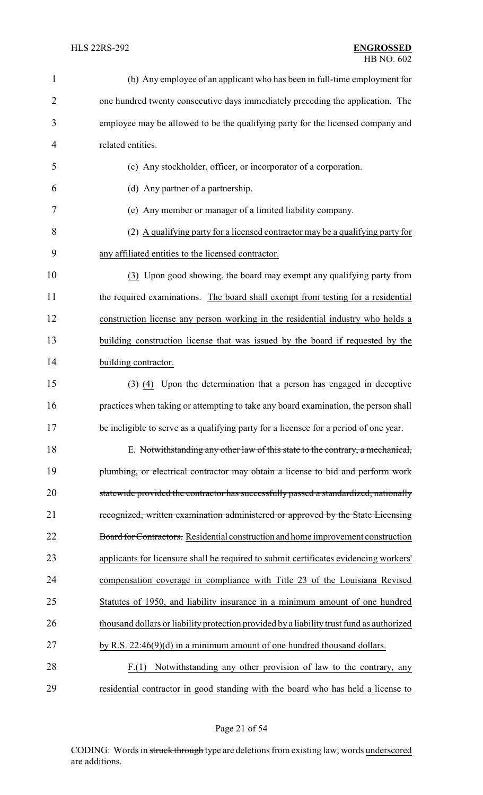| $\mathbf{1}$   | (b) Any employee of an applicant who has been in full-time employment for                    |
|----------------|----------------------------------------------------------------------------------------------|
| $\overline{2}$ | one hundred twenty consecutive days immediately preceding the application. The               |
| 3              | employee may be allowed to be the qualifying party for the licensed company and              |
| $\overline{4}$ | related entities.                                                                            |
| 5              | (c) Any stockholder, officer, or incorporator of a corporation.                              |
| 6              | (d) Any partner of a partnership.                                                            |
| 7              | (e) Any member or manager of a limited liability company.                                    |
| 8              | (2) A qualifying party for a licensed contractor may be a qualifying party for               |
| 9              | any affiliated entities to the licensed contractor.                                          |
| 10             | (3) Upon good showing, the board may exempt any qualifying party from                        |
| 11             | the required examinations. The board shall exempt from testing for a residential             |
| 12             | construction license any person working in the residential industry who holds a              |
| 13             | building construction license that was issued by the board if requested by the               |
| 14             | building contractor.                                                                         |
| 15             | $\left(\frac{1}{2}\right)$ (4) Upon the determination that a person has engaged in deceptive |
| 16             | practices when taking or attempting to take any board examination, the person shall          |
| 17             | be ineligible to serve as a qualifying party for a licensee for a period of one year.        |
| 18             | E. Notwithstanding any other law of this state to the contrary, a mechanical,                |
| 19             | plumbing, or electrical contractor may obtain a license to bid and perform work              |
| 20             | statewide provided the contractor has successfully passed a standardized, nationally         |
| 21             | recognized, written examination administered or approved by the State Licensing              |
| 22             | Board for Contractors. Residential construction and home improvement construction            |
| 23             | applicants for licensure shall be required to submit certificates evidencing workers'        |
| 24             | compensation coverage in compliance with Title 23 of the Louisiana Revised                   |
| 25             | Statutes of 1950, and liability insurance in a minimum amount of one hundred                 |
| 26             | thousand dollars or liability protection provided by a liability trust fund as authorized    |
| 27             | by R.S. $22:46(9)(d)$ in a minimum amount of one hundred thousand dollars.                   |
| 28             | Notwithstanding any other provision of law to the contrary, any<br>F(1)                      |
| 29             | residential contractor in good standing with the board who has held a license to             |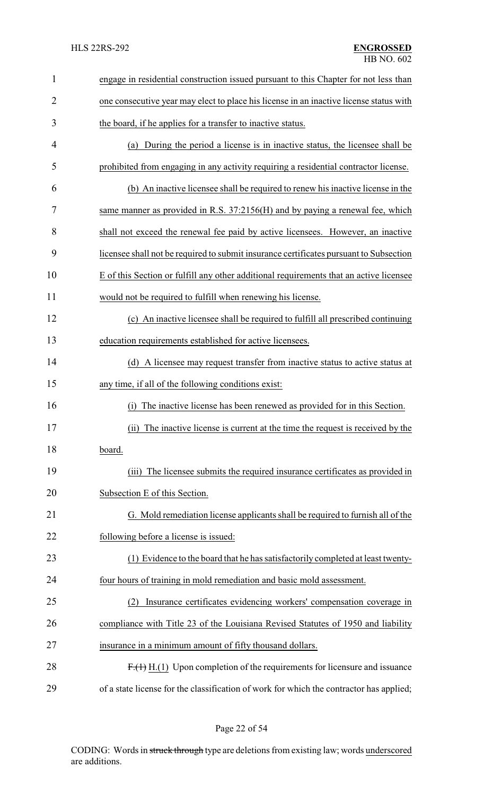| $\mathbf{1}$   | engage in residential construction issued pursuant to this Chapter for not less than    |
|----------------|-----------------------------------------------------------------------------------------|
| $\overline{2}$ | one consecutive year may elect to place his license in an inactive license status with  |
| 3              | the board, if he applies for a transfer to inactive status.                             |
| 4              | (a) During the period a license is in inactive status, the licensee shall be            |
| 5              | prohibited from engaging in any activity requiring a residential contractor license.    |
| 6              | (b) An inactive licensee shall be required to renew his inactive license in the         |
| 7              | same manner as provided in R.S. 37:2156(H) and by paying a renewal fee, which           |
| 8              | shall not exceed the renewal fee paid by active licensees. However, an inactive         |
| 9              | licensee shall not be required to submit insurance certificates pursuant to Subsection  |
| 10             | E of this Section or fulfill any other additional requirements that an active licensee  |
| 11             | would not be required to fulfill when renewing his license.                             |
| 12             | (c) An inactive licensee shall be required to fulfill all prescribed continuing         |
| 13             | education requirements established for active licensees.                                |
| 14             | (d) A licensee may request transfer from inactive status to active status at            |
| 15             | any time, if all of the following conditions exist:                                     |
| 16             | The inactive license has been renewed as provided for in this Section.<br>(i)           |
| 17             | (ii) The inactive license is current at the time the request is received by the         |
| 18             | board.                                                                                  |
| 19             | The licensee submits the required insurance certificates as provided in<br>(iii)        |
| 20             | Subsection E of this Section.                                                           |
| 21             | G. Mold remediation license applicants shall be required to furnish all of the          |
| 22             | following before a license is issued:                                                   |
| 23             | (1) Evidence to the board that he has satisfactorily completed at least twenty-         |
| 24             | four hours of training in mold remediation and basic mold assessment.                   |
| 25             | Insurance certificates evidencing workers' compensation coverage in<br>(2)              |
| 26             | compliance with Title 23 of the Louisiana Revised Statutes of 1950 and liability        |
| 27             | insurance in a minimum amount of fifty thousand dollars.                                |
| 28             | $F1(1)$ H.(1) Upon completion of the requirements for licensure and issuance            |
| 29             | of a state license for the classification of work for which the contractor has applied; |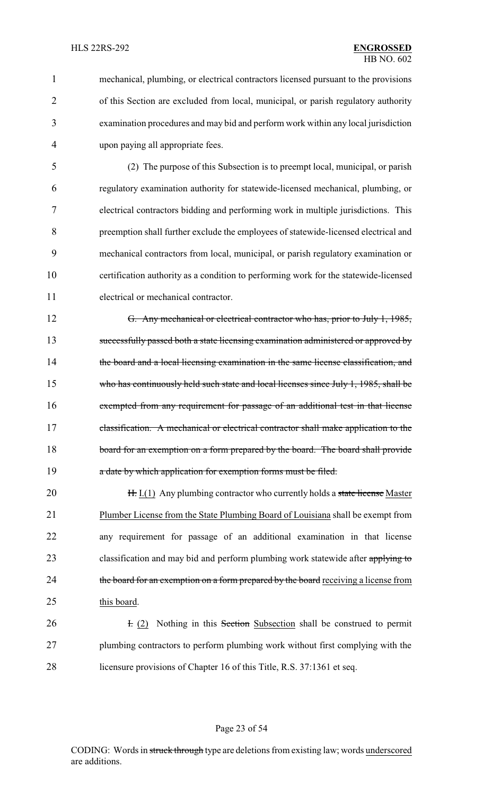mechanical, plumbing, or electrical contractors licensed pursuant to the provisions of this Section are excluded from local, municipal, or parish regulatory authority examination procedures and may bid and perform work within any local jurisdiction upon paying all appropriate fees.

 (2) The purpose of this Subsection is to preempt local, municipal, or parish regulatory examination authority for statewide-licensed mechanical, plumbing, or electrical contractors bidding and performing work in multiple jurisdictions. This preemption shall further exclude the employees of statewide-licensed electrical and mechanical contractors from local, municipal, or parish regulatory examination or certification authority as a condition to performing work for the statewide-licensed electrical or mechanical contractor.

 G. Any mechanical or electrical contractor who has, prior to July 1, 1985, successfully passed both a state licensing examination administered or approved by 14 the board and a local licensing examination in the same license classification, and 15 who has continuously held such state and local licenses since July 1, 1985, shall be exempted from any requirement for passage of an additional test in that license 17 classification. A mechanical or electrical contractor shall make application to the 18 board for an exemption on a form prepared by the board. The board shall provide **a** date by which application for exemption forms must be filed.

**H.** I.(1) Any plumbing contractor who currently holds a state license Master Plumber License from the State Plumbing Board of Louisiana shall be exempt from any requirement for passage of an additional examination in that license 23 classification and may bid and perform plumbing work statewide after applying to 24 the board for an exemption on a form prepared by the board receiving a license from this board.

**I.** (2) Nothing in this Section Subsection shall be construed to permit plumbing contractors to perform plumbing work without first complying with the licensure provisions of Chapter 16 of this Title, R.S. 37:1361 et seq.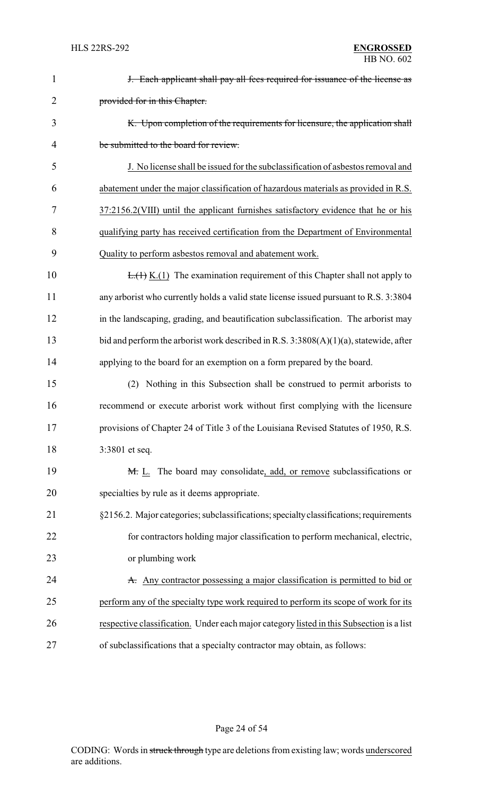| $\mathbf{1}$   | <b>J.</b> Each applicant shall pay all fees required for issuance of the license as      |
|----------------|------------------------------------------------------------------------------------------|
| $\overline{2}$ | provided for in this Chapter.                                                            |
| 3              | K. Upon completion of the requirements for licensure, the application shall              |
| 4              | be submitted to the board for review.                                                    |
| 5              | J. No license shall be issued for the subclassification of asbestos removal and          |
| 6              | abatement under the major classification of hazardous materials as provided in R.S.      |
| 7              | 37:2156.2(VIII) until the applicant furnishes satisfactory evidence that he or his       |
| 8              | qualifying party has received certification from the Department of Environmental         |
| 9              | Quality to perform asbestos removal and abatement work.                                  |
| 10             | $E_{\cdot}(1)$ K.(1) The examination requirement of this Chapter shall not apply to      |
| 11             | any arborist who currently holds a valid state license issued pursuant to R.S. 3:3804    |
| 12             | in the landscaping, grading, and beautification subclassification. The arborist may      |
| 13             | bid and perform the arborist work described in R.S. $3:3808(A)(1)(a)$ , statewide, after |
| 14             | applying to the board for an exemption on a form prepared by the board.                  |
| 15             | (2) Nothing in this Subsection shall be construed to permit arborists to                 |
| 16             | recommend or execute arborist work without first complying with the licensure            |
| 17             | provisions of Chapter 24 of Title 3 of the Louisiana Revised Statutes of 1950, R.S.      |
| 18             | 3:3801 et seq.                                                                           |
| 19             | M. L. The board may consolidate, add, or remove subclassifications or                    |
| 20             | specialties by rule as it deems appropriate.                                             |
| 21             | §2156.2. Major categories; subclassifications; specialty classifications; requirements   |
| 22             | for contractors holding major classification to perform mechanical, electric,            |
| 23             | or plumbing work                                                                         |
| 24             | A. Any contractor possessing a major classification is permitted to bid or               |
| 25             | perform any of the specialty type work required to perform its scope of work for its     |
| 26             | respective classification. Under each major category listed in this Subsection is a list |
| 27             | of subclassifications that a specialty contractor may obtain, as follows:                |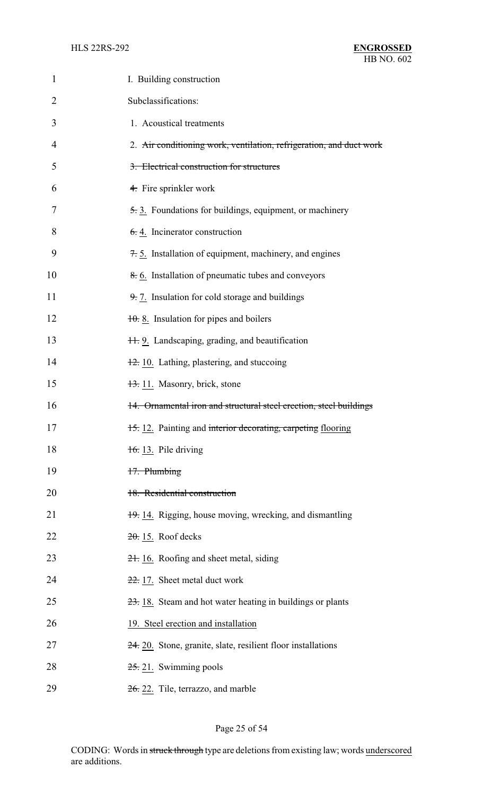| 1  | I. Building construction                                            |
|----|---------------------------------------------------------------------|
| 2  | Subclassifications:                                                 |
| 3  | 1. Acoustical treatments                                            |
| 4  | 2. Air conditioning work, ventilation, refrigeration, and duct work |
| 5  | 3. Electrical construction for structures                           |
| 6  | 4. Fire sprinkler work                                              |
| 7  | 5.3. Foundations for buildings, equipment, or machinery             |
| 8  | $6.4$ . Incinerator construction                                    |
| 9  | 7.5. Installation of equipment, machinery, and engines              |
| 10 | 8.6. Installation of pneumatic tubes and conveyors                  |
| 11 | 9.7. Insulation for cold storage and buildings                      |
| 12 | $\frac{10}{10}$ . 8. Insulation for pipes and boilers               |
| 13 | 11. 9. Landscaping, grading, and beautification                     |
| 14 | 12. 10. Lathing, plastering, and stuccoing                          |
| 15 | 13. 11. Masonry, brick, stone                                       |
| 16 | 14. Ornamental iron and structural steel erection, steel buildings  |
| 17 | 15.12. Painting and interior decorating, carpeting flooring         |
| 18 | $\frac{16}{10}$ . Pile driving                                      |
| 19 | 17. Plumbing                                                        |
| 20 | 18. Residential construction                                        |
| 21 | 19. 14. Rigging, house moving, wrecking, and dismantling            |
| 22 | $20.15$ . Roof decks                                                |
| 23 | 21. 16. Roofing and sheet metal, siding                             |
| 24 | 22. 17. Sheet metal duct work                                       |
| 25 | 23. 18. Steam and hot water heating in buildings or plants          |
| 26 | 19. Steel erection and installation                                 |
| 27 | $24.20$ . Stone, granite, slate, resilient floor installations      |
| 28 | $25.21$ . Swimming pools                                            |
| 29 | 26. 22. Tile, terrazzo, and marble                                  |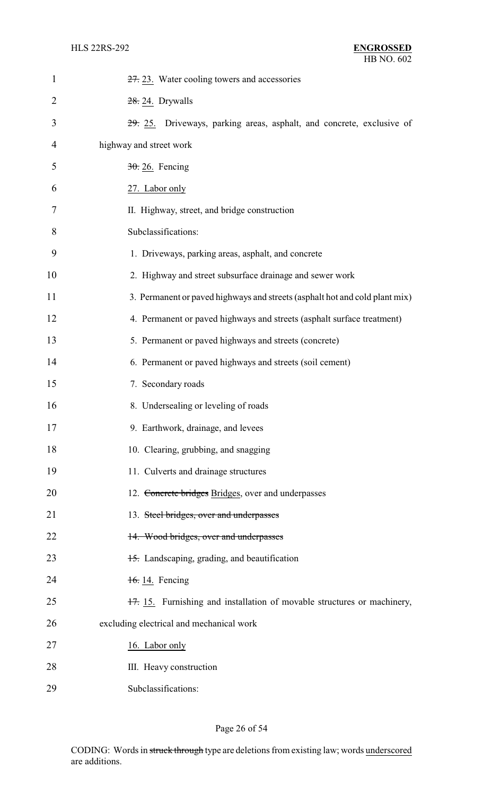| $\mathbf{1}$   | 27. 23. Water cooling towers and accessories                                |
|----------------|-----------------------------------------------------------------------------|
| $\overline{2}$ | $28.24.$ Drywalls                                                           |
| 3              | 29. 25. Driveways, parking areas, asphalt, and concrete, exclusive of       |
| 4              | highway and street work                                                     |
| 5              | $30.26$ . Fencing                                                           |
| 6              | 27. Labor only                                                              |
| 7              | II. Highway, street, and bridge construction                                |
| 8              | Subclassifications:                                                         |
| 9              | 1. Driveways, parking areas, asphalt, and concrete                          |
| 10             | 2. Highway and street subsurface drainage and sewer work                    |
| 11             | 3. Permanent or paved highways and streets (asphalt hot and cold plant mix) |
| 12             | 4. Permanent or paved highways and streets (asphalt surface treatment)      |
| 13             | 5. Permanent or paved highways and streets (concrete)                       |
| 14             | 6. Permanent or paved highways and streets (soil cement)                    |
| 15             | 7. Secondary roads                                                          |
| 16             | 8. Undersealing or leveling of roads                                        |
| 17             | 9. Earthwork, drainage, and levees                                          |
| 18             | 10. Clearing, grubbing, and snagging                                        |
| 19             | 11. Culverts and drainage structures                                        |
| 20             | 12. Concrete bridges Bridges, over and underpasses                          |
| 21             | 13. Steel bridges, over and underpasses                                     |
| 22             | 14. Wood bridges, over and underpasses                                      |
| 23             | 15. Landscaping, grading, and beautification                                |
| 24             | 16.14. Fencing                                                              |
| 25             | 17. 15. Furnishing and installation of movable structures or machinery,     |
| 26             | excluding electrical and mechanical work                                    |
| 27             | 16. Labor only                                                              |
| 28             | III. Heavy construction                                                     |
| 29             | Subclassifications:                                                         |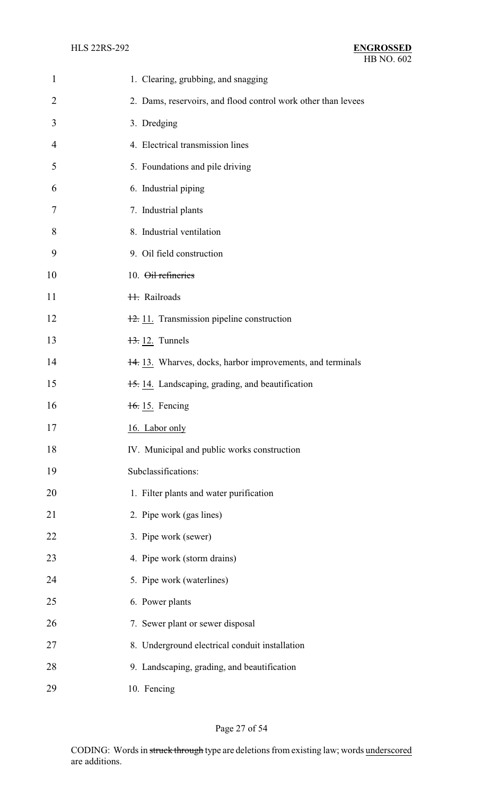| $\mathbf{1}$   | 1. Clearing, grubbing, and snagging                           |
|----------------|---------------------------------------------------------------|
| $\overline{2}$ | 2. Dams, reservoirs, and flood control work other than levees |
| 3              | 3. Dredging                                                   |
| 4              | 4. Electrical transmission lines                              |
| 5              | 5. Foundations and pile driving                               |
| 6              | 6. Industrial piping                                          |
| 7              | 7. Industrial plants                                          |
| 8              | 8. Industrial ventilation                                     |
| 9              | 9. Oil field construction                                     |
| 10             | 10. Oil refineries                                            |
| 11             | <b>H.</b> Railroads                                           |
| 12             | 12. 11. Transmission pipeline construction                    |
| 13             | $\frac{13}{2}$ 12. Tunnels                                    |
| 14             | 14.13. Wharves, docks, harbor improvements, and terminals     |
| 15             | 15.14. Landscaping, grading, and beautification               |
| 16             | 16. 15. Fencing                                               |
| 17             | 16. Labor only                                                |
| 18             | IV. Municipal and public works construction                   |
| 19             | Subclassifications:                                           |
| 20             | 1. Filter plants and water purification                       |
| 21             | 2. Pipe work (gas lines)                                      |
| 22             | 3. Pipe work (sewer)                                          |
| 23             | 4. Pipe work (storm drains)                                   |
| 24             | 5. Pipe work (waterlines)                                     |
| 25             | 6. Power plants                                               |
| 26             | 7. Sewer plant or sewer disposal                              |
| 27             | 8. Underground electrical conduit installation                |
| 28             | 9. Landscaping, grading, and beautification                   |
| 29             | 10. Fencing                                                   |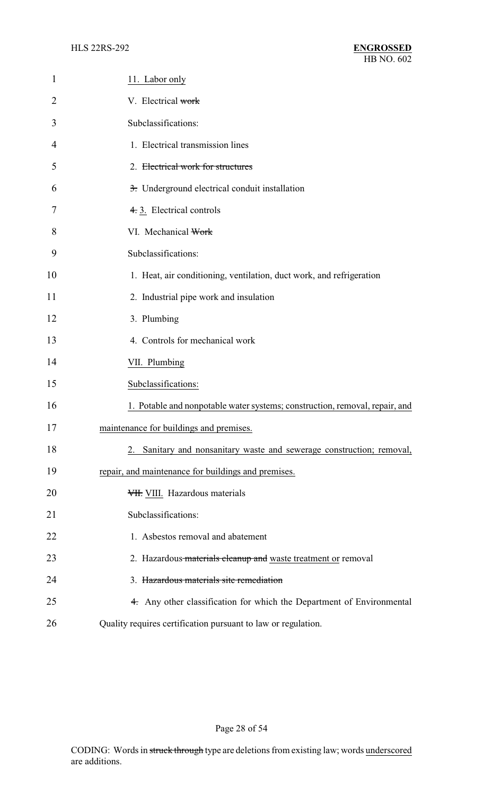| $\mathbf{1}$   | 11. Labor only                                                              |
|----------------|-----------------------------------------------------------------------------|
| $\overline{2}$ | V. Electrical work                                                          |
| 3              | Subclassifications:                                                         |
| 4              | 1. Electrical transmission lines                                            |
| 5              | 2. Electrical work for structures                                           |
| 6              | 3. Underground electrical conduit installation                              |
| 7              | 4.3. Electrical controls                                                    |
| 8              | VI. Mechanical Work                                                         |
| 9              | Subclassifications:                                                         |
| 10             | 1. Heat, air conditioning, ventilation, duct work, and refrigeration        |
| 11             | 2. Industrial pipe work and insulation                                      |
| 12             | 3. Plumbing                                                                 |
| 13             | 4. Controls for mechanical work                                             |
| 14             | VII. Plumbing                                                               |
| 15             | Subclassifications:                                                         |
| 16             | 1. Potable and nonpotable water systems; construction, removal, repair, and |
| 17             | maintenance for buildings and premises.                                     |
| 18             | 2. Sanitary and nonsanitary waste and sewerage construction; removal,       |
| 19             | repair, and maintenance for buildings and premises.                         |
| 20             | VII. VIII. Hazardous materials                                              |
| 21             | Subclassifications:                                                         |
| 22             | 1. Asbestos removal and abatement                                           |
| 23             | 2. Hazardous materials cleanup and waste treatment or removal               |
| 24             | 3. Hazardous materials site remediation                                     |
| 25             | 4. Any other classification for which the Department of Environmental       |
| 26             | Quality requires certification pursuant to law or regulation.               |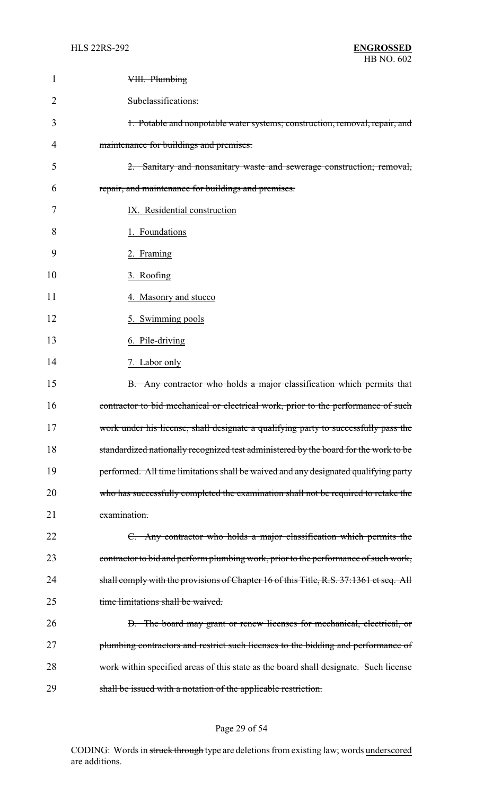| 1              | VIII. Plumbing                                                                         |
|----------------|----------------------------------------------------------------------------------------|
| $\overline{2}$ | Subclassifications:                                                                    |
| 3              | 1. Potable and nonpotable water systems; construction, removal, repair, and            |
| 4              | maintenance for buildings and premises.                                                |
| 5              | 2. Sanitary and nonsanitary waste and sewerage construction; removal,                  |
| 6              | repair, and maintenance for buildings and premises.                                    |
| 7              | IX. Residential construction                                                           |
| 8              | 1. Foundations                                                                         |
| 9              | 2. Framing                                                                             |
| 10             | 3. Roofing                                                                             |
| 11             | 4. Masonry and stucco                                                                  |
| 12             | 5. Swimming pools                                                                      |
| 13             | 6. Pile-driving                                                                        |
| 14             | 7. Labor only                                                                          |
| 15             | B. Any contractor who holds a major classification which permits that                  |
| 16             | contractor to bid mechanical or electrical work, prior to the performance of such      |
| 17             | work under his license, shall designate a qualifying party to successfully pass the    |
| 18             | standardized nationally recognized test administered by the board for the work to be   |
| 19             | performed. All time limitations shall be waived and any designated qualifying party    |
| 20             | who has successfully completed the examination shall not be required to retake the     |
| 21             | examination.                                                                           |
| 22             | C. Any contractor who holds a major classification which permits the                   |
| 23             | contractor to bid and perform plumbing work, prior to the performance of such work,    |
| 24             | shall comply with the provisions of Chapter 16 of this Title, R.S. 37:1361 et seq. All |
| 25             | time limitations shall be waived.                                                      |
| 26             | D. The board may grant or renew licenses for mechanical, electrical, or                |
| 27             | plumbing contractors and restrict such licenses to the bidding and performance of      |
| 28             | work within specified areas of this state as the board shall designate. Such license   |
| 29             | shall be issued with a notation of the applicable restriction.                         |

# Page 29 of 54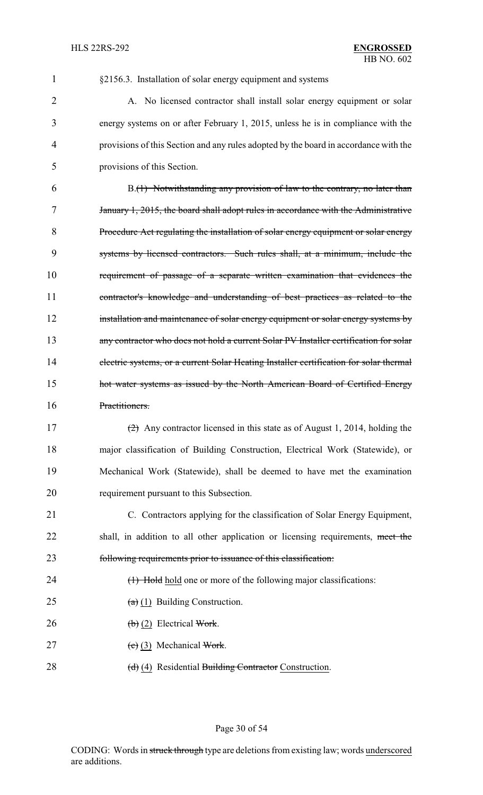#### §2156.3. Installation of solar energy equipment and systems

2 A. No licensed contractor shall install solar energy equipment or solar energy systems on or after February 1, 2015, unless he is in compliance with the provisions of this Section and any rules adopted by the board in accordance with the provisions of this Section.

 B.(1) Notwithstanding any provision of law to the contrary, no later than January 1, 2015, the board shall adopt rules in accordance with the Administrative Procedure Act regulating the installation of solar energy equipment or solar energy systems by licensed contractors. Such rules shall, at a minimum, include the requirement of passage of a separate written examination that evidences the contractor's knowledge and understanding of best practices as related to the 12 installation and maintenance of solar energy equipment or solar energy systems by any contractor who does not hold a current Solar PV Installer certification for solar electric systems, or a current Solar Heating Installer certification for solar thermal **hot water systems as issued by the North American Board of Certified Energy** Practitioners.

 (2) Any contractor licensed in this state as of August 1, 2014, holding the major classification of Building Construction, Electrical Work (Statewide), or Mechanical Work (Statewide), shall be deemed to have met the examination requirement pursuant to this Subsection.

 C. Contractors applying for the classification of Solar Energy Equipment, 22 shall, in addition to all other application or licensing requirements, meet the following requirements prior to issuance of this classification:

- 24 (1) Hold hold one or more of the following major classifications:
- 25  $(a)$  (1) Building Construction.
- 26 (b) (2) Electrical Work.
- 27 (c) (3) Mechanical Work.
- 28 (d) (4) Residential Building Contractor Construction.

## Page 30 of 54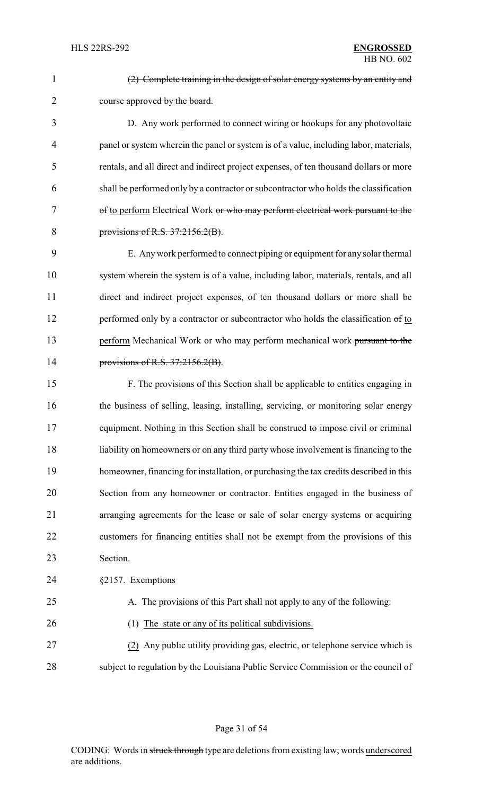| $\mathbf{1}$   | (2) Complete training in the design of solar energy systems by an entity and           |
|----------------|----------------------------------------------------------------------------------------|
| $\overline{2}$ | course approved by the board.                                                          |
| 3              | D. Any work performed to connect wiring or hookups for any photovoltaic                |
| 4              | panel or system wherein the panel or system is of a value, including labor, materials, |
| 5              | rentals, and all direct and indirect project expenses, of ten thousand dollars or more |
| 6              | shall be performed only by a contractor or subcontractor who holds the classification  |
| 7              | of to perform Electrical Work or who may perform electrical work pursuant to the       |
| 8              | provisions of R.S. $37:2156.2(B)$ .                                                    |
| 9              | E. Any work performed to connect piping or equipment for any solar thermal             |
| 10             | system wherein the system is of a value, including labor, materials, rentals, and all  |
| 11             | direct and indirect project expenses, of ten thousand dollars or more shall be         |
| 12             | performed only by a contractor or subcontractor who holds the classification of to     |
| 13             | perform Mechanical Work or who may perform mechanical work pursuant to the             |
| 14             | provisions of R.S. $37:2156.2(B)$ .                                                    |
| 15             | F. The provisions of this Section shall be applicable to entities engaging in          |
| 16             | the business of selling, leasing, installing, servicing, or monitoring solar energy    |
| 17             | equipment. Nothing in this Section shall be construed to impose civil or criminal      |
| 18             | liability on homeowners or on any third party whose involvement is financing to the    |
| 19             | homeowner, financing for installation, or purchasing the tax credits described in this |
| 20             | Section from any homeowner or contractor. Entities engaged in the business of          |
| 21             | arranging agreements for the lease or sale of solar energy systems or acquiring        |
| 22             | customers for financing entities shall not be exempt from the provisions of this       |
| 23             | Section.                                                                               |
| 24             | §2157. Exemptions                                                                      |
| 25             | A. The provisions of this Part shall not apply to any of the following:                |
| 26             | The state or any of its political subdivisions.<br>(1)                                 |
| 27             | (2) Any public utility providing gas, electric, or telephone service which is          |
| 28             | subject to regulation by the Louisiana Public Service Commission or the council of     |
|                |                                                                                        |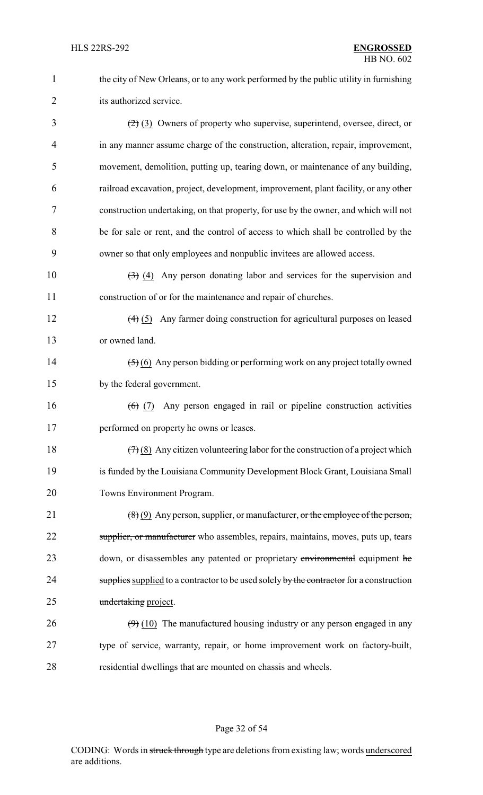1 the city of New Orleans, or to any work performed by the public utility in furnishing 2 its authorized service.

 $\left(\frac{2}{2}\right)$  (3) Owners of property who supervise, superintend, oversee, direct, or in any manner assume charge of the construction, alteration, repair, improvement, movement, demolition, putting up, tearing down, or maintenance of any building, railroad excavation, project, development, improvement, plant facility, or any other construction undertaking, on that property, for use by the owner, and which will not be for sale or rent, and the control of access to which shall be controlled by the owner so that only employees and nonpublic invitees are allowed access.

10  $\left(3\right)$  (4) Any person donating labor and services for the supervision and 11 construction of or for the maintenance and repair of churches.

12 (4) (5) Any farmer doing construction for agricultural purposes on leased 13 or owned land.

14 (5) (6) Any person bidding or performing work on any project totally owned 15 by the federal government.

16 (6) (7) Any person engaged in rail or pipeline construction activities 17 performed on property he owns or leases.

18  $(7)(8)$  Any citizen volunteering labor for the construction of a project which 19 is funded by the Louisiana Community Development Block Grant, Louisiana Small 20 Towns Environment Program.

21  $(8)(9)$  Any person, supplier, or manufacturer, or the employee of the person, 22 supplier, or manufacturer who assembles, repairs, maintains, moves, puts up, tears 23 down, or disassembles any patented or proprietary environmental equipment he 24 supplies supplied to a contractor to be used solely by the contractor for a construction 25 undertaking project.

26  $(9)$  (10) The manufactured housing industry or any person engaged in any 27 type of service, warranty, repair, or home improvement work on factory-built, 28 residential dwellings that are mounted on chassis and wheels.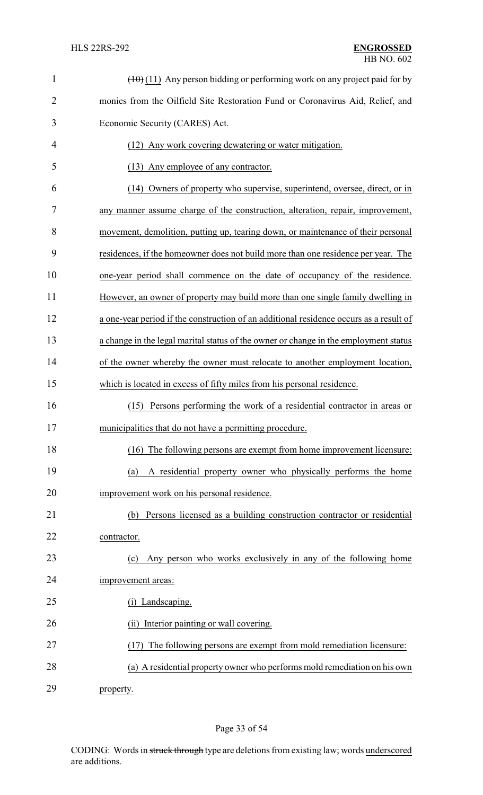| $\mathbf{1}$   | $(\pm 0)$ (11) Any person bidding or performing work on any project paid for by        |
|----------------|----------------------------------------------------------------------------------------|
| $\overline{2}$ | monies from the Oilfield Site Restoration Fund or Coronavirus Aid, Relief, and         |
| 3              | Economic Security (CARES) Act.                                                         |
| 4              | Any work covering dewatering or water mitigation.<br>(12)                              |
| 5              | (13) Any employee of any contractor.                                                   |
| 6              | (14) Owners of property who supervise, superintend, oversee, direct, or in             |
| 7              | any manner assume charge of the construction, alteration, repair, improvement,         |
| 8              | movement, demolition, putting up, tearing down, or maintenance of their personal       |
| 9              | residences, if the homeowner does not build more than one residence per year. The      |
| 10             | one-year period shall commence on the date of occupancy of the residence.              |
| 11             | However, an owner of property may build more than one single family dwelling in        |
| 12             | a one-year period if the construction of an additional residence occurs as a result of |
| 13             | a change in the legal marital status of the owner or change in the employment status   |
| 14             | of the owner whereby the owner must relocate to another employment location,           |
| 15             | which is located in excess of fifty miles from his personal residence.                 |
| 16             | Persons performing the work of a residential contractor in areas or<br>(15)            |
| 17             | municipalities that do not have a permitting procedure.                                |
| 18             | (16) The following persons are exempt from home improvement licensure:                 |
| 19             | A residential property owner who physically performs the home<br>(a)                   |
| 20             | improvement work on his personal residence.                                            |
| 21             | Persons licensed as a building construction contractor or residential<br>(b)           |
| 22             | contractor.                                                                            |
| 23             | Any person who works exclusively in any of the following home<br>(c)                   |
| 24             | improvement areas:                                                                     |
| 25             | (i) Landscaping.                                                                       |
| 26             | Interior painting or wall covering.<br>(ii)                                            |
| 27             | The following persons are exempt from mold remediation licensure:<br>(17)              |
| 28             | (a) A residential property owner who performs mold remediation on his own              |
| 29             | property.                                                                              |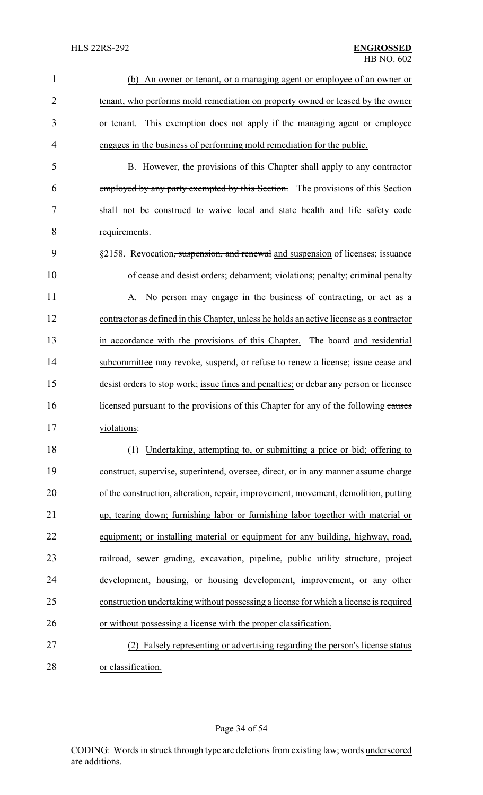| $\mathbf{1}$   | (b) An owner or tenant, or a managing agent or employee of an owner or                      |
|----------------|---------------------------------------------------------------------------------------------|
| $\overline{2}$ | tenant, who performs mold remediation on property owned or leased by the owner              |
| 3              | or tenant. This exemption does not apply if the managing agent or employee                  |
| 4              | engages in the business of performing mold remediation for the public.                      |
| 5              | B. However, the provisions of this Chapter shall apply to any contractor                    |
| 6              | employed by any party exempted by this Section. The provisions of this Section              |
| 7              | shall not be construed to waive local and state health and life safety code                 |
| 8              | requirements.                                                                               |
| 9              | §2158. Revocation <del>, suspension, and renewal</del> and suspension of licenses; issuance |
| 10             | of cease and desist orders; debarment; violations; penalty; criminal penalty                |
| 11             | A. No person may engage in the business of contracting, or act as a                         |
| 12             | contractor as defined in this Chapter, unless he holds an active license as a contractor    |
| 13             |                                                                                             |
|                | in accordance with the provisions of this Chapter. The board and residential                |
| 14             | subcommittee may revoke, suspend, or refuse to renew a license; issue cease and             |
| 15             | desist orders to stop work; issue fines and penalties; or debar any person or licensee      |
| 16             | licensed pursuant to the provisions of this Chapter for any of the following causes         |
| 17             | violations:                                                                                 |
| 18             | (1) Undertaking, attempting to, or submitting a price or bid; offering to                   |
| 19             | construct, supervise, superintend, oversee, direct, or in any manner assume charge          |
| 20             | of the construction, alteration, repair, improvement, movement, demolition, putting         |
| 21             | up, tearing down; furnishing labor or furnishing labor together with material or            |
| 22             | equipment; or installing material or equipment for any building, highway, road,             |
| 23             | railroad, sewer grading, excavation, pipeline, public utility structure, project            |
| 24             | development, housing, or housing development, improvement, or any other                     |
| 25             | construction undertaking without possessing a license for which a license is required       |
| 26             | or without possessing a license with the proper classification.                             |
| 27             | (2) Falsely representing or advertising regarding the person's license status               |
| 28             | or classification.                                                                          |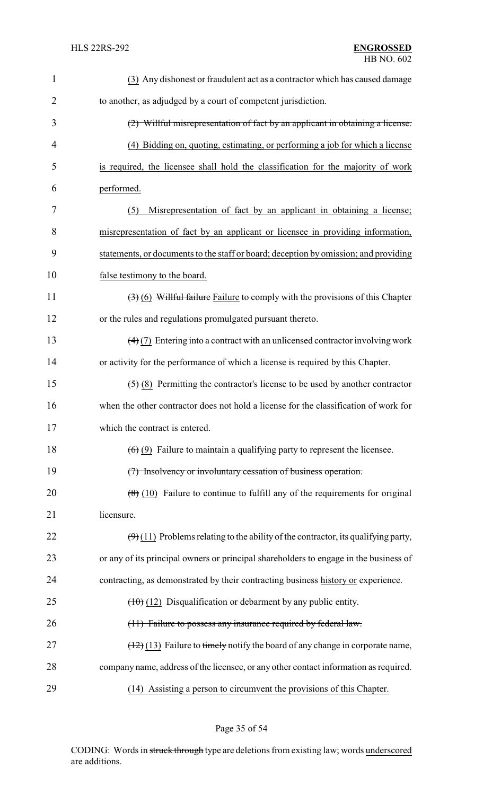| $\mathbf{1}$   | (3) Any dishonest or fraudulent act as a contractor which has caused damage                              |
|----------------|----------------------------------------------------------------------------------------------------------|
| $\overline{2}$ | to another, as adjudged by a court of competent jurisdiction.                                            |
| 3              | (2) Willful misrepresentation of fact by an applicant in obtaining a license.                            |
| 4              | (4) Bidding on, quoting, estimating, or performing a job for which a license                             |
| 5              | is required, the licensee shall hold the classification for the majority of work                         |
| 6              | performed.                                                                                               |
| 7              | Misrepresentation of fact by an applicant in obtaining a license;<br>(5)                                 |
| 8              | misrepresentation of fact by an applicant or licensee in providing information,                          |
| 9              | statements, or documents to the staff or board; deception by omission; and providing                     |
| 10             | false testimony to the board.                                                                            |
| 11             | $(3)$ (6) Willful failure Failure to comply with the provisions of this Chapter                          |
| 12             | or the rules and regulations promulgated pursuant thereto.                                               |
| 13             | $\left(\frac{4}{2}\right)$ Entering into a contract with an unlicensed contractor involving work         |
| 14             | or activity for the performance of which a license is required by this Chapter.                          |
| 15             | $\left(\frac{5}{5}\right)$ (8) Permitting the contractor's license to be used by another contractor      |
| 16             | when the other contractor does not hold a license for the classification of work for                     |
| 17             | which the contract is entered.                                                                           |
| 18             | $(6)$ (9) Failure to maintain a qualifying party to represent the licensee.                              |
| 19             | (7) Insolvency or involuntary cessation of business operation.                                           |
| 20             | $(8)$ (10) Failure to continue to fulfill any of the requirements for original                           |
| 21             | licensure.                                                                                               |
| 22             | $\left(\frac{9}{2}\right)(11)$ Problems relating to the ability of the contractor, its qualifying party, |
| 23             | or any of its principal owners or principal shareholders to engage in the business of                    |
| 24             | contracting, as demonstrated by their contracting business history or experience.                        |
| 25             | $(10)(12)$ Disqualification or debarment by any public entity.                                           |
| 26             | (11) Failure to possess any insurance required by federal law.                                           |
| 27             | $(12)(13)$ Failure to timely notify the board of any change in corporate name,                           |
| 28             | company name, address of the licensee, or any other contact information as required.                     |
| 29             | (14) Assisting a person to circumvent the provisions of this Chapter.                                    |

Page 35 of 54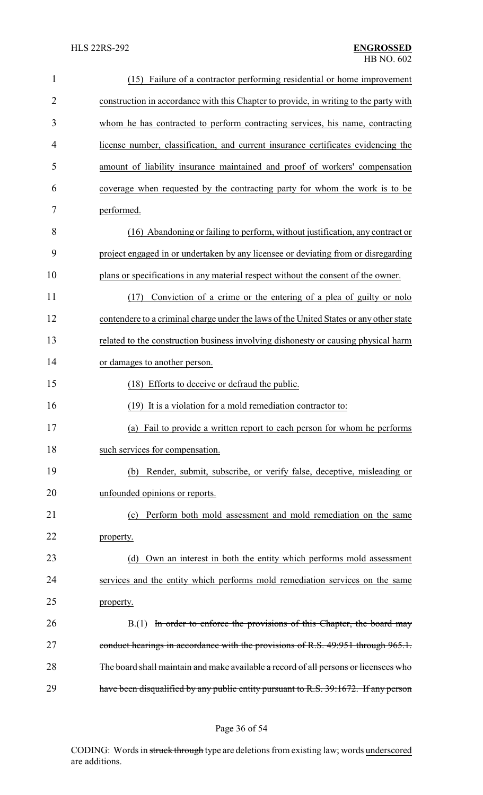| $\mathbf{1}$   | (15) Failure of a contractor performing residential or home improvement                |
|----------------|----------------------------------------------------------------------------------------|
| $\overline{2}$ | construction in accordance with this Chapter to provide, in writing to the party with  |
| 3              | whom he has contracted to perform contracting services, his name, contracting          |
| 4              | license number, classification, and current insurance certificates evidencing the      |
| 5              | amount of liability insurance maintained and proof of workers' compensation            |
| 6              | coverage when requested by the contracting party for whom the work is to be            |
| 7              | performed.                                                                             |
| 8              | (16) Abandoning or failing to perform, without justification, any contract or          |
| 9              | project engaged in or undertaken by any licensee or deviating from or disregarding     |
| 10             | plans or specifications in any material respect without the consent of the owner.      |
| 11             | Conviction of a crime or the entering of a plea of guilty or nolo<br>(17)              |
| 12             | contendere to a criminal charge under the laws of the United States or any other state |
| 13             | related to the construction business involving dishonesty or causing physical harm     |
| 14             | or damages to another person.                                                          |
| 15             | (18) Efforts to deceive or defraud the public.                                         |
| 16             | (19) It is a violation for a mold remediation contractor to:                           |
| 17             | (a) Fail to provide a written report to each person for whom he performs               |
| 18             | such services for compensation.                                                        |
| 19             | Render, submit, subscribe, or verify false, deceptive, misleading or<br>(b)            |
| 20             | unfounded opinions or reports.                                                         |
| 21             | Perform both mold assessment and mold remediation on the same<br>(c)                   |
| 22             | property.                                                                              |
| 23             | (d) Own an interest in both the entity which performs mold assessment                  |
| 24             | services and the entity which performs mold remediation services on the same           |
| 25             | property.                                                                              |
| 26             | B.(1) In order to enforce the provisions of this Chapter, the board may                |
| 27             | conduct hearings in accordance with the provisions of R.S. 49:951 through 965.1.       |
| 28             | The board shall maintain and make available a record of all persons or licensees who   |
| 29             | have been disqualified by any public entity pursuant to R.S. 39:1672. If any person    |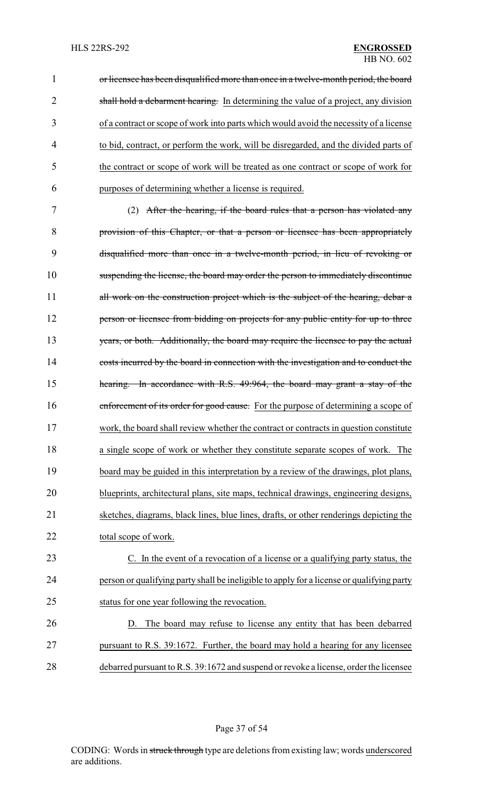1 or licensee has been disqualified more than once in a twelve-month period, the board 2 shall hold a debarment hearing. In determining the value of a project, any division of a contract or scope of work into parts which would avoid the necessity of a license to bid, contract, or perform the work, will be disregarded, and the divided parts of the contract or scope of work will be treated as one contract or scope of work for purposes of determining whether a license is required.

 (2) After the hearing, if the board rules that a person has violated any provision of this Chapter, or that a person or licensee has been appropriately disqualified more than once in a twelve-month period, in lieu of revoking or suspending the license, the board may order the person to immediately discontinue 11 all work on the construction project which is the subject of the hearing, debar a **person or licensee from bidding on projects for any public entity for up to three** 13 years, or both. Additionally, the board may require the licensee to pay the actual costs incurred by the board in connection with the investigation and to conduct the hearing. In accordance with R.S. 49:964, the board may grant a stay of the 16 enforcement of its order for good cause. For the purpose of determining a scope of work, the board shall review whether the contract or contracts in question constitute a single scope of work or whether they constitute separate scopes of work. The board may be guided in this interpretation by a review of the drawings, plot plans, blueprints, architectural plans, site maps, technical drawings, engineering designs, sketches, diagrams, black lines, blue lines, drafts, or other renderings depicting the total scope of work.

 C. In the event of a revocation of a license or a qualifying party status, the person or qualifying party shall be ineligible to apply for a license or qualifying party status for one year following the revocation.

 D. The board may refuse to license any entity that has been debarred pursuant to R.S. 39:1672. Further, the board may hold a hearing for any licensee debarred pursuant to R.S. 39:1672 and suspend or revoke a license, order the licensee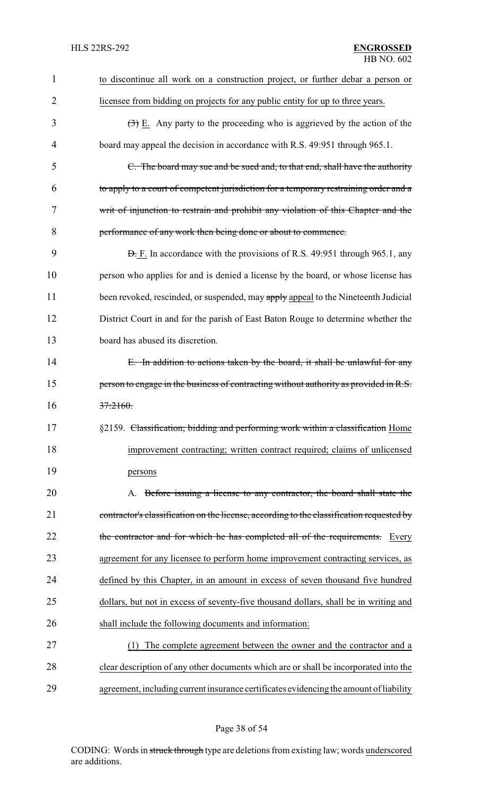| $\mathbf{1}$   | to discontinue all work on a construction project, or further debar a person or                 |
|----------------|-------------------------------------------------------------------------------------------------|
| $\overline{2}$ | licensee from bidding on projects for any public entity for up to three years.                  |
| 3              | $\left(\frac{1}{2}\right)$ E. Any party to the proceeding who is aggrieved by the action of the |
| 4              | board may appeal the decision in accordance with R.S. 49:951 through 965.1.                     |
| 5              | C. The board may sue and be sued and, to that end, shall have the authority                     |
| 6              | to apply to a court of competent jurisdiction for a temporary restraining order and a           |
| 7              | writ of injunction to restrain and prohibit any violation of this Chapter and the               |
| 8              | performance of any work then being done or about to commence.                                   |
| 9              | <b>D.</b> F. In accordance with the provisions of R.S. 49:951 through 965.1, any                |
| 10             | person who applies for and is denied a license by the board, or whose license has               |
| 11             | been revoked, rescinded, or suspended, may apply appeal to the Nineteenth Judicial              |
| 12             | District Court in and for the parish of East Baton Rouge to determine whether the               |
| 13             | board has abused its discretion.                                                                |
| 14             | E. In addition to actions taken by the board, it shall be unlawful for any                      |
| 15             | person to engage in the business of contracting without authority as provided in R.S.           |
| 16             | 37:2160.                                                                                        |
| 17             | §2159. Classification; bidding and performing work within a classification Home                 |
| 18             | improvement contracting; written contract required; claims of unlicensed                        |
| 19             | persons                                                                                         |
| 20             | A. Before issuing a license to any contractor, the board shall state the                        |
| 21             | contractor's classification on the license, according to the classification requested by        |
| 22             | the contractor and for which he has completed all of the requirements. Every                    |
| 23             | agreement for any licensee to perform home improvement contracting services, as                 |
| 24             | defined by this Chapter, in an amount in excess of seven thousand five hundred                  |
| 25             | dollars, but not in excess of seventy-five thousand dollars, shall be in writing and            |
| 26             | shall include the following documents and information:                                          |
| 27             | The complete agreement between the owner and the contractor and a<br>(1)                        |
| 28             | clear description of any other documents which are or shall be incorporated into the            |
| 29             | agreement, including current insurance certificates evidencing the amount of liability          |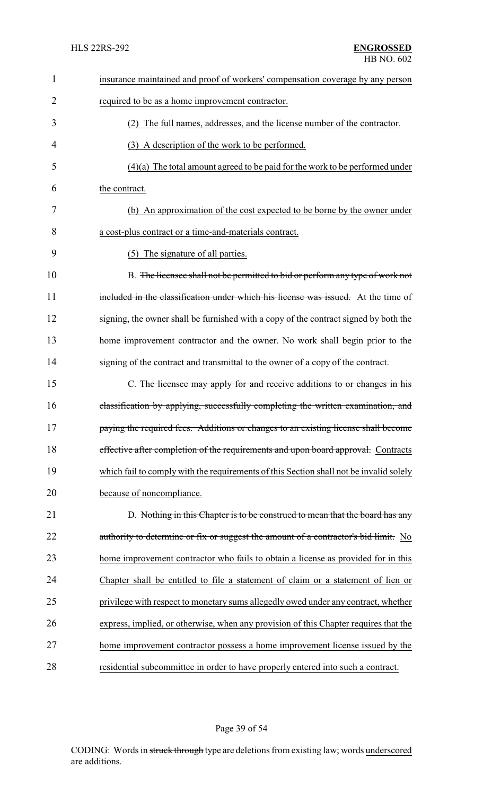| $\mathbf{1}$   | insurance maintained and proof of workers' compensation coverage by any person         |
|----------------|----------------------------------------------------------------------------------------|
| 2              | required to be as a home improvement contractor.                                       |
| 3              | (2) The full names, addresses, and the license number of the contractor.               |
| $\overline{4}$ | (3) A description of the work to be performed.                                         |
| 5              | $(4)(a)$ The total amount agreed to be paid for the work to be performed under         |
| 6              | the contract.                                                                          |
| 7              | (b) An approximation of the cost expected to be borne by the owner under               |
| 8              | a cost-plus contract or a time-and-materials contract.                                 |
| 9              | The signature of all parties.<br>(5)                                                   |
| 10             | B. The licensee shall not be permitted to bid or perform any type of work not          |
| 11             | included in the classification under which his license was issued. At the time of      |
| 12             | signing, the owner shall be furnished with a copy of the contract signed by both the   |
| 13             | home improvement contractor and the owner. No work shall begin prior to the            |
| 14             | signing of the contract and transmittal to the owner of a copy of the contract.        |
| 15             | C. The licensee may apply for and receive additions to or changes in his               |
| 16             | classification by applying, successfully completing the written examination, and       |
| 17             | paying the required fees. Additions or changes to an existing license shall become     |
| 18             | effective after completion of the requirements and upon board approval. Contracts      |
| 19             | which fail to comply with the requirements of this Section shall not be invalid solely |
| 20             | because of noncompliance.                                                              |
| 21             | D. Nothing in this Chapter is to be construed to mean that the board has any           |
| 22             | authority to determine or fix or suggest the amount of a contractor's bid limit. No    |
| 23             | home improvement contractor who fails to obtain a license as provided for in this      |
| 24             | Chapter shall be entitled to file a statement of claim or a statement of lien or       |
| 25             | privilege with respect to monetary sums allegedly owed under any contract, whether     |
| 26             | express, implied, or otherwise, when any provision of this Chapter requires that the   |
| 27             | home improvement contractor possess a home improvement license issued by the           |
| 28             | residential subcommittee in order to have properly entered into such a contract.       |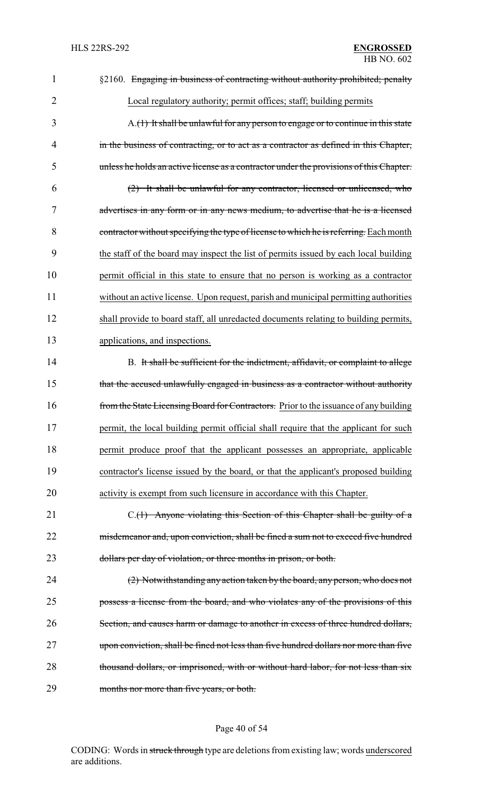| 1              | §2160. Engaging in business of contracting without authority prohibited; penalty          |
|----------------|-------------------------------------------------------------------------------------------|
| $\overline{2}$ | Local regulatory authority; permit offices; staff; building permits                       |
| 3              | $A_{\cdot}(1)$ It shall be unlawful for any person to engage or to continue in this state |
| 4              | in the business of contracting, or to act as a contractor as defined in this Chapter,     |
| 5              | unless he holds an active license as a contractor under the provisions of this Chapter.   |
| 6              | (2) It shall be unlawful for any contractor, licensed or unlicensed, who                  |
| 7              | advertises in any form or in any news medium, to advertise that he is a licensed          |
| 8              | contractor without specifying the type of license to which he is referring. Each month    |
| 9              | the staff of the board may inspect the list of permits issued by each local building      |
| 10             | permit official in this state to ensure that no person is working as a contractor         |
| 11             | without an active license. Upon request, parish and municipal permitting authorities      |
| 12             | shall provide to board staff, all unredacted documents relating to building permits,      |
| 13             | applications, and inspections.                                                            |
| 14             | B. It shall be sufficient for the indictment, affidavit, or complaint to allege           |
| 15             | that the accused unlawfully engaged in business as a contractor without authority         |
| 16             | from the State Licensing Board for Contractors. Prior to the issuance of any building     |
| 17             | permit, the local building permit official shall require that the applicant for such      |
| 18             | permit produce proof that the applicant possesses an appropriate, applicable              |
| 19             | contractor's license issued by the board, or that the applicant's proposed building       |
| 20             | activity is exempt from such licensure in accordance with this Chapter.                   |
| 21             | C.(1) Anyone violating this Section of this Chapter shall be guilty of a                  |
| 22             | misdemeanor and, upon conviction, shall be fined a sum not to exceed five hundred         |
| 23             | dollars per day of violation, or three months in prison, or both.                         |
| 24             | (2) Notwithstanding any action taken by the board, any person, who does not               |
| 25             | possess a license from the board, and who violates any of the provisions of this          |
| 26             | Section, and causes harm or damage to another in excess of three hundred dollars,         |
| 27             | upon conviction, shall be fined not less than five hundred dollars nor more than five     |
| 28             | thousand dollars, or imprisoned, with or without hard labor, for not less than six        |
| 29             | months nor more than five years, or both.                                                 |

# Page 40 of 54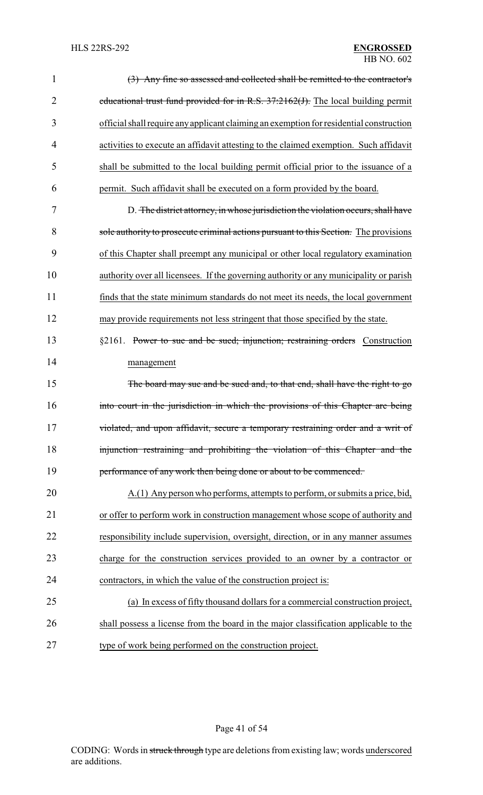| $\mathbf{1}$   | (3) Any fine so assessed and collected shall be remitted to the contractor's            |
|----------------|-----------------------------------------------------------------------------------------|
| $\overline{2}$ | educational trust fund provided for in R.S. 37:2162(J). The local building permit       |
| 3              | official shall require any applicant claiming an exemption for residential construction |
| 4              | activities to execute an affidavit attesting to the claimed exemption. Such affidavit   |
| 5              | shall be submitted to the local building permit official prior to the issuance of a     |
| 6              | permit. Such affidavit shall be executed on a form provided by the board.               |
| 7              | D. The district attorney, in whose jurisdiction the violation occurs, shall have        |
| 8              | sole authority to prosecute criminal actions pursuant to this Section. The provisions   |
| 9              | of this Chapter shall preempt any municipal or other local regulatory examination       |
| 10             | authority over all licensees. If the governing authority or any municipality or parish  |
| 11             | finds that the state minimum standards do not meet its needs, the local government      |
| 12             | may provide requirements not less stringent that those specified by the state.          |
| 13             | §2161. Power to sue and be sued; injunction; restraining orders Construction            |
| 14             | management                                                                              |
| 15             | The board may sue and be sued and, to that end, shall have the right to go              |
| 16             | into court in the jurisdiction in which the provisions of this Chapter are being        |
| 17             | violated, and upon affidavit, secure a temporary restraining order and a writ of        |
| 18             | injunction restraining and prohibiting the violation of this Chapter and the            |
| 19             | performance of any work then being done or about to be commenced.                       |
| 20             | A.(1) Any person who performs, attempts to perform, or submits a price, bid,            |
| 21             | or offer to perform work in construction management whose scope of authority and        |
| 22             | responsibility include supervision, oversight, direction, or in any manner assumes      |
| 23             | charge for the construction services provided to an owner by a contractor or            |
| 24             | contractors, in which the value of the construction project is:                         |
| 25             | (a) In excess of fifty thousand dollars for a commercial construction project,          |
| 26             | shall possess a license from the board in the major classification applicable to the    |
| 27             | type of work being performed on the construction project.                               |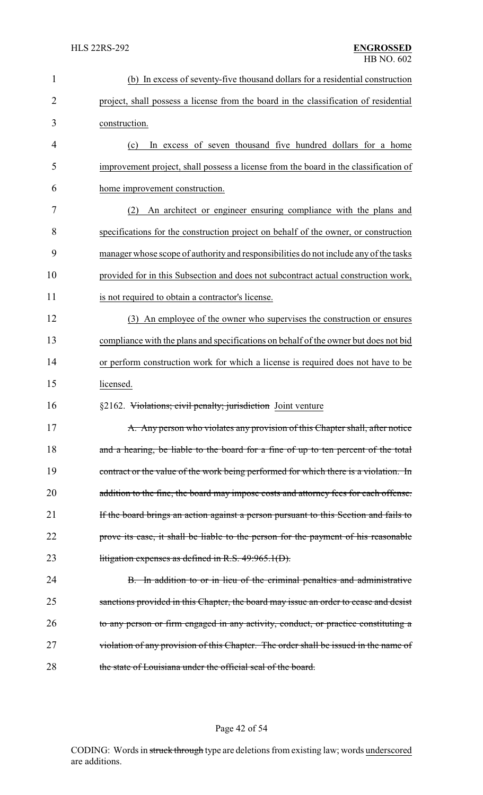| $\mathbf{1}$   | (b) In excess of seventy-five thousand dollars for a residential construction         |
|----------------|---------------------------------------------------------------------------------------|
| $\overline{2}$ | project, shall possess a license from the board in the classification of residential  |
| 3              | construction.                                                                         |
| 4              | In excess of seven thousand five hundred dollars for a home<br>(c)                    |
| 5              | improvement project, shall possess a license from the board in the classification of  |
| 6              | home improvement construction.                                                        |
| 7              | An architect or engineer ensuring compliance with the plans and<br>(2)                |
| 8              | specifications for the construction project on behalf of the owner, or construction   |
| 9              | manager whose scope of authority and responsibilities do not include any of the tasks |
| 10             | provided for in this Subsection and does not subcontract actual construction work,    |
| 11             | is not required to obtain a contractor's license.                                     |
| 12             | (3) An employee of the owner who supervises the construction or ensures               |
| 13             | compliance with the plans and specifications on behalf of the owner but does not bid  |
| 14             | or perform construction work for which a license is required does not have to be      |
| 15             | licensed.                                                                             |
| 16             | §2162. Violations; civil penalty; jurisdiction Joint venture                          |
| 17             | A. Any person who violates any provision of this Chapter shall, after notice          |
| 18             | and a hearing, be liable to the board for a fine of up to ten percent of the total    |
| 19             | contract or the value of the work being performed for which there is a violation. In  |
| 20             | addition to the fine, the board may impose costs and attorney fees for each offense.  |
| 21             | If the board brings an action against a person pursuant to this Section and fails to  |
| 22             | prove its case, it shall be liable to the person for the payment of his reasonable    |
| 23             | litigation expenses as defined in R.S. $49:965.1(D)$ .                                |
| 24             | B. In addition to or in lieu of the criminal penalties and administrative             |
| 25             | sanctions provided in this Chapter, the board may issue an order to cease and desist  |
| 26             | to any person or firm engaged in any activity, conduct, or practice constituting a    |
| 27             | violation of any provision of this Chapter. The order shall be issued in the name of  |
|                |                                                                                       |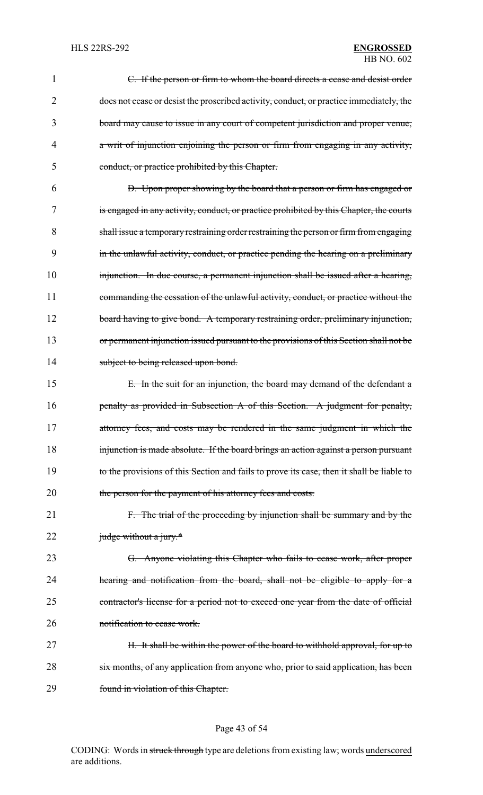# HB NO. 602

| 1  | C. If the person or firm to whom the board directs a cease and desist order               |
|----|-------------------------------------------------------------------------------------------|
| 2  | does not cease or desist the proscribed activity, conduct, or practice immediately, the   |
| 3  | board may cause to issue in any court of competent jurisdiction and proper venue,         |
| 4  | a writ of injunction enjoining the person or firm from engaging in any activity,          |
| 5  | conduct, or practice prohibited by this Chapter.                                          |
| 6  | D. Upon proper showing by the board that a person or firm has engaged or                  |
| 7  | is engaged in any activity, conduct, or practice prohibited by this Chapter, the courts   |
| 8  | shall issue a temporary restraining order restraining the person or firm from engaging    |
| 9  | in the unlawful activity, conduct, or practice pending the hearing on a preliminary       |
| 10 | injunction. In due course, a permanent injunction shall be issued after a hearing,        |
| 11 | commanding the cessation of the unlawful activity, conduct, or practice without the       |
| 12 | board having to give bond. A temporary restraining order, preliminary injunction,         |
| 13 | or permanent injunction issued pursuant to the provisions of this Section shall not be    |
| 14 | subject to being released upon bond.                                                      |
| 15 | E. In the suit for an injunction, the board may demand of the defendant a                 |
| 16 | penalty as provided in Subsection A of this Section. A judgment for penalty,              |
| 17 | attorney fees, and costs may be rendered in the same judgment in which the                |
| 18 | injunction is made absolute. If the board brings an action against a person pursuant      |
| 19 | to the provisions of this Section and fails to prove its case, then it shall be liable to |
| 20 | the person for the payment of his attorney fees and costs.                                |
| 21 | F. The trial of the proceeding by injunction shall be summary and by the                  |
| 22 | judge without a jury.*                                                                    |
| 23 | G. Anyone violating this Chapter who fails to cease work, after proper                    |
| 24 | hearing and notification from the board, shall not be eligible to apply for a             |
| 25 | contractor's license for a period not to exceed one year from the date of official        |
| 26 | notification to cease work.                                                               |
| 27 | H. It shall be within the power of the board to withhold approval, for up to              |
| 28 | six months, of any application from anyone who, prior to said application, has been       |
| 29 | found in violation of this Chapter.                                                       |

# Page 43 of 54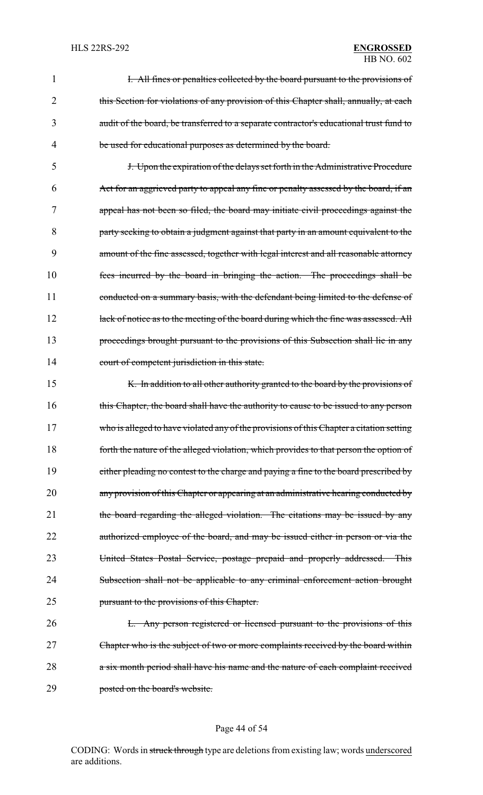# HB NO. 602

|   | I. All fines or penalties collected by the board pursuant to the provisions of          |
|---|-----------------------------------------------------------------------------------------|
|   | this Section for violations of any provision of this Chapter shall, annually, at each   |
|   | audit of the board, be transferred to a separate contractor's educational trust fund to |
| 4 | be used for educational purposes as determined by the board.                            |

5 J. Upon the expiration of the delays set forth in the Administrative Procedure 6 Act for an aggrieved party to appeal any fine or penalty assessed by the board, if an 7 appeal has not been so filed, the board may initiate civil proceedings against the 8 party seeking to obtain a judgment against that party in an amount equivalent to the 9 amount of the fine assessed, together with legal interest and all reasonable attorney 10 fees incurred by the board in bringing the action. The proceedings shall be 11 conducted on a summary basis, with the defendant being limited to the defense of 12 lack of notice as to the meeting of the board during which the fine was assessed. All 13 proceedings brought pursuant to the provisions of this Subsection shall lie in any 14 court of competent jurisdiction in this state.

15 K. In addition to all other authority granted to the board by the provisions of 16 this Chapter, the board shall have the authority to cause to be issued to any person 17 who is alleged to have violated any of the provisions of this Chapter a citation setting 18 forth the nature of the alleged violation, which provides to that person the option of 19 either pleading no contest to the charge and paying a fine to the board prescribed by 20 any provision of this Chapter or appearing at an administrative hearing conducted by 21 the board regarding the alleged violation. The citations may be issued by any 22 authorized employee of the board, and may be issued either in person or via the 23 United States Postal Service, postage prepaid and properly addressed. This 24 Subsection shall not be applicable to any criminal enforcement action brought 25 pursuant to the provisions of this Chapter.

26 L. Any person registered or licensed pursuant to the provisions of this 27 Chapter who is the subject of two or more complaints received by the board within 28 a six month period shall have his name and the nature of each complaint received 29 posted on the board's website.

#### Page 44 of 54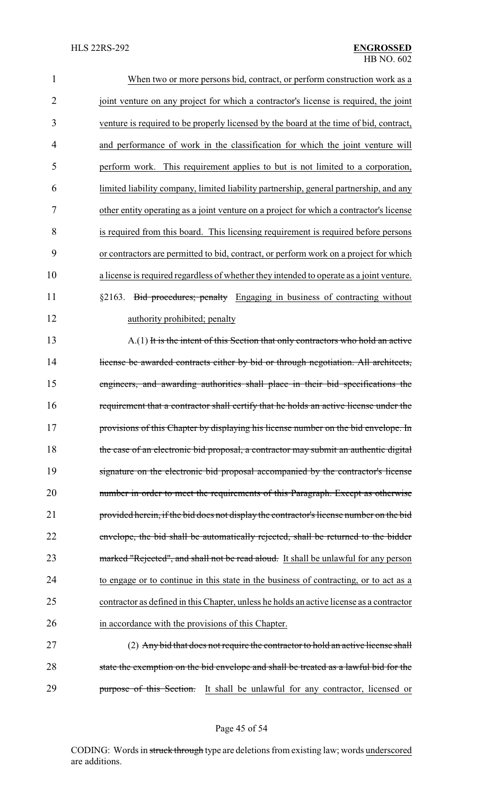| $\mathbf{1}$   | When two or more persons bid, contract, or perform construction work as a                |
|----------------|------------------------------------------------------------------------------------------|
| $\overline{2}$ | joint venture on any project for which a contractor's license is required, the joint     |
| 3              | venture is required to be properly licensed by the board at the time of bid, contract,   |
| 4              | and performance of work in the classification for which the joint venture will           |
| 5              | perform work. This requirement applies to but is not limited to a corporation,           |
| 6              | limited liability company, limited liability partnership, general partnership, and any   |
| 7              | other entity operating as a joint venture on a project for which a contractor's license  |
| 8              | is required from this board. This licensing requirement is required before persons       |
| 9              | or contractors are permitted to bid, contract, or perform work on a project for which    |
| 10             | a license is required regardless of whether they intended to operate as a joint venture. |
| 11             | §2163. Bid procedures; penalty Engaging in business of contracting without               |
| 12             | authority prohibited; penalty                                                            |
| 13             | A.(1) It is the intent of this Section that only contractors who hold an active          |
| 14             | license be awarded contracts either by bid or through negotiation. All architects,       |
| 15             | engineers, and awarding authorities shall place in their bid specifications the          |
| 16             | requirement that a contractor shall certify that he holds an active license under the    |
| 17             | provisions of this Chapter by displaying his license number on the bid envelope. In      |
| 18             | the case of an electronic bid proposal, a contractor may submit an authentic digital     |
| 19             | signature on the electronic bid proposal accompanied by the contractor's license         |
| 20             | number in order to meet the requirements of this Paragraph. Except as otherwise          |
| 21             | provided herein, if the bid does not display the contractor's license number on the bid  |
| 22             | envelope, the bid shall be automatically rejected, shall be returned to the bidder       |
| 23             | marked "Rejected", and shall not be read aloud. It shall be unlawful for any person      |
| 24             | to engage or to continue in this state in the business of contracting, or to act as a    |
| 25             | contractor as defined in this Chapter, unless he holds an active license as a contractor |
| 26             | in accordance with the provisions of this Chapter.                                       |
| 27             | (2) Any bid that does not require the contractor to hold an active license shall         |
| 28             | state the exemption on the bid envelope and shall be treated as a lawful bid for the     |
| 29             | purpose of this Section. It shall be unlawful for any contractor, licensed or            |

Page 45 of 54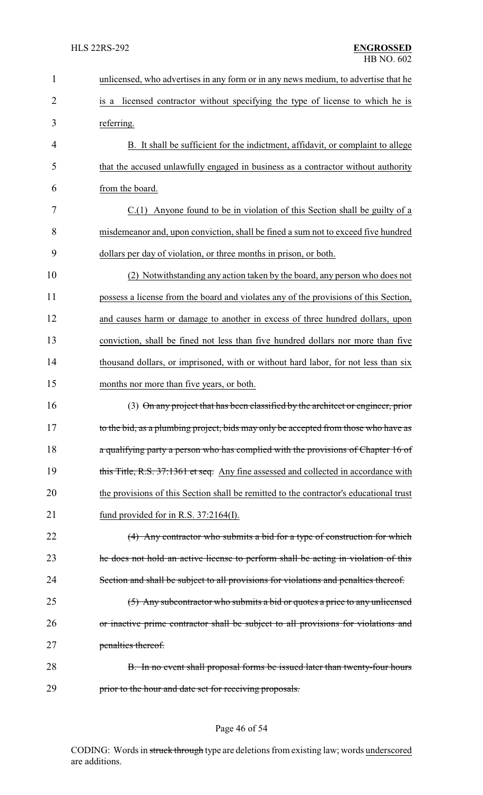| 1              | unlicensed, who advertises in any form or in any news medium, to advertise that he     |
|----------------|----------------------------------------------------------------------------------------|
| $\overline{2}$ | is a licensed contractor without specifying the type of license to which he is         |
| 3              | referring.                                                                             |
| 4              | B. It shall be sufficient for the indictment, affidavit, or complaint to allege        |
| 5              | that the accused unlawfully engaged in business as a contractor without authority      |
| 6              | from the board.                                                                        |
| 7              | C.(1) Anyone found to be in violation of this Section shall be guilty of a             |
| 8              | misdemeanor and, upon conviction, shall be fined a sum not to exceed five hundred      |
| 9              | dollars per day of violation, or three months in prison, or both.                      |
| 10             | (2) Notwithstanding any action taken by the board, any person who does not             |
| 11             | possess a license from the board and violates any of the provisions of this Section,   |
| 12             | and causes harm or damage to another in excess of three hundred dollars, upon          |
| 13             | conviction, shall be fined not less than five hundred dollars nor more than five       |
| 14             | thousand dollars, or imprisoned, with or without hard labor, for not less than six     |
| 15             | months nor more than five years, or both.                                              |
| 16             | (3) On any project that has been classified by the architect or engineer, prior        |
| 17             | to the bid, as a plumbing project, bids may only be accepted from those who have as    |
| 18             | a qualifying party a person who has complied with the provisions of Chapter 16 of      |
| 19             | this Title, R.S. 37:1361 et seq. Any fine assessed and collected in accordance with    |
| 20             | the provisions of this Section shall be remitted to the contractor's educational trust |
| 21             | fund provided for in R.S. $37:2164(I)$ .                                               |
| 22             | (4) Any contractor who submits a bid for a type of construction for which              |
| 23             | the does not hold an active license to perform shall be acting in violation of this    |
| 24             | Section and shall be subject to all provisions for violations and penalties thereof.   |
| 25             | (5) Any subcontractor who submits a bid or quotes a price to any unlicensed            |
| 26             | or inactive prime contractor shall be subject to all provisions for violations and     |
| 27             | penalties thereof.                                                                     |
| 28             | B. In no event shall proposal forms be issued later than twenty-four hours             |
| 29             | prior to the hour and date set for receiving proposals.                                |

# Page 46 of 54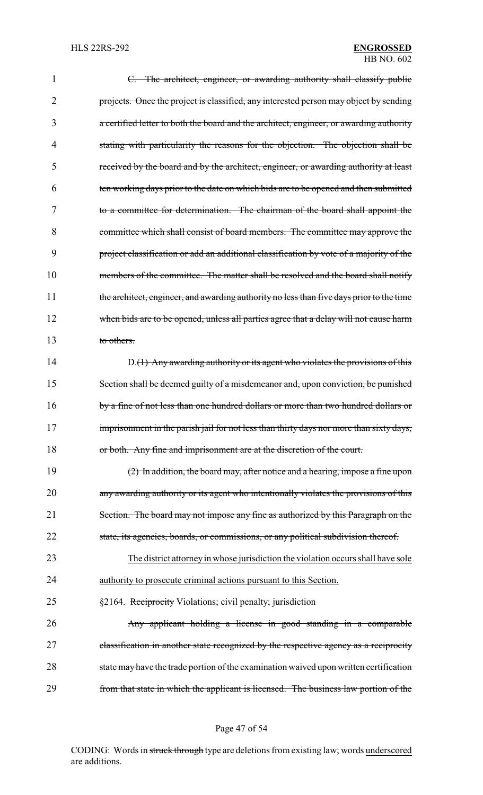| 1  | C. The architect, engineer, or awarding authority shall classify public                  |
|----|------------------------------------------------------------------------------------------|
| 2  | projects. Once the project is classified, any interested person may object by sending    |
| 3  | a certified letter to both the board and the architect, engineer, or awarding authority  |
| 4  | stating with particularity the reasons for the objection. The objection shall be         |
| 5  | received by the board and by the architect, engineer, or awarding authority at least     |
| 6  | ten working days prior to the date on which bids are to be opened and then submitted     |
| 7  | to a committee for determination. The chairman of the board shall appoint the            |
| 8  | committee which shall consist of board members. The committee may approve the            |
| 9  | project classification or add an additional classification by vote of a majority of the  |
| 10 | members of the committee. The matter shall be resolved and the board shall notify        |
| 11 | the architect, engineer, and awarding authority no less than five days prior to the time |
| 12 | when bids are to be opened, unless all parties agree that a delay will not cause harm    |
| 13 | to others.                                                                               |
| 14 | D.(1) Any awarding authority or its agent who violates the provisions of this            |
| 15 | Section shall be deemed guilty of a misdemeanor and, upon conviction, be punished        |
| 16 | by a fine of not less than one hundred dollars or more than two hundred dollars or       |
| 17 | imprisonment in the parish jail for not less than thirty days nor more than sixty days,  |
| 18 | or both. Any fine and imprisonment are at the discretion of the court.                   |
| 19 | (2) In addition, the board may, after notice and a hearing, impose a fine upon           |
| 20 | any awarding authority or its agent who intentionally violates the provisions of this    |
| 21 | Section. The board may not impose any fine as authorized by this Paragraph on the        |
| 22 | state, its agencies, boards, or commissions, or any political subdivision thereof.       |
| 23 | The district attorney in whose jurisdiction the violation occurs shall have sole         |
| 24 | authority to prosecute criminal actions pursuant to this Section.                        |
| 25 | §2164. Reciprocity Violations; civil penalty; jurisdiction                               |
| 26 | Any applicant holding a license in good standing in a comparable                         |
| 27 | elassification in another state recognized by the respective agency as a reciprocity     |
| 28 | state may have the trade portion of the examination waived upon written certification    |
| 29 | from that state in which the applicant is licensed. The business law portion of the      |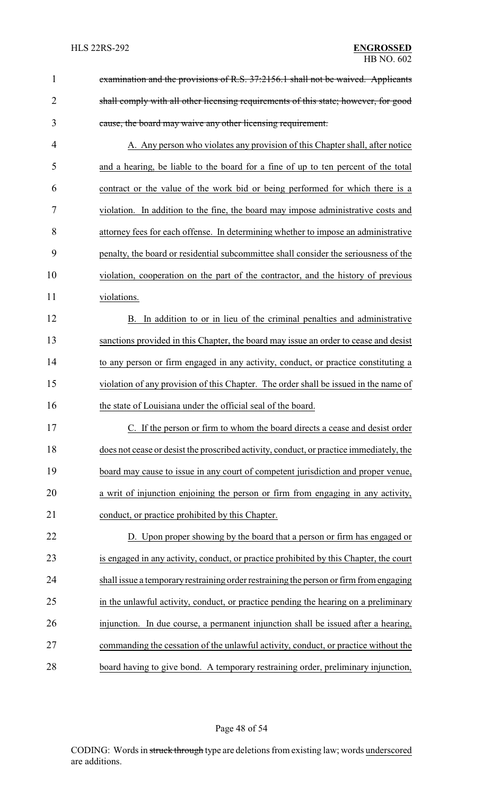| $\mathbf{1}$   | examination and the provisions of R.S. 37:2156.1 shall not be waived. Applicants        |
|----------------|-----------------------------------------------------------------------------------------|
| $\overline{2}$ | shall comply with all other licensing requirements of this state; however, for good     |
| 3              | cause, the board may waive any other licensing requirement.                             |
| $\overline{4}$ | A. Any person who violates any provision of this Chapter shall, after notice            |
| 5              | and a hearing, be liable to the board for a fine of up to ten percent of the total      |
| 6              | contract or the value of the work bid or being performed for which there is a           |
| 7              | violation. In addition to the fine, the board may impose administrative costs and       |
| 8              | attorney fees for each offense. In determining whether to impose an administrative      |
| 9              | penalty, the board or residential subcommittee shall consider the seriousness of the    |
| 10             | violation, cooperation on the part of the contractor, and the history of previous       |
| 11             | violations.                                                                             |
| 12             | In addition to or in lieu of the criminal penalties and administrative<br>В.            |
| 13             | sanctions provided in this Chapter, the board may issue an order to cease and desist    |
| 14             | to any person or firm engaged in any activity, conduct, or practice constituting a      |
| 15             | violation of any provision of this Chapter. The order shall be issued in the name of    |
| 16             | the state of Louisiana under the official seal of the board.                            |
| 17             | C. If the person or firm to whom the board directs a cease and desist order             |
| 18             | does not cease or desist the proscribed activity, conduct, or practice immediately, the |
| 19             | board may cause to issue in any court of competent jurisdiction and proper venue,       |
| 20             | a writ of injunction enjoining the person or firm from engaging in any activity,        |
| 21             | conduct, or practice prohibited by this Chapter.                                        |
| 22             | D. Upon proper showing by the board that a person or firm has engaged or                |
| 23             | is engaged in any activity, conduct, or practice prohibited by this Chapter, the court  |
| 24             | shall issue a temporary restraining order restraining the person or firm from engaging  |
| 25             | in the unlawful activity, conduct, or practice pending the hearing on a preliminary     |
| 26             | injunction. In due course, a permanent injunction shall be issued after a hearing,      |
| 27             | commanding the cessation of the unlawful activity, conduct, or practice without the     |
| 28             | board having to give bond. A temporary restraining order, preliminary injunction,       |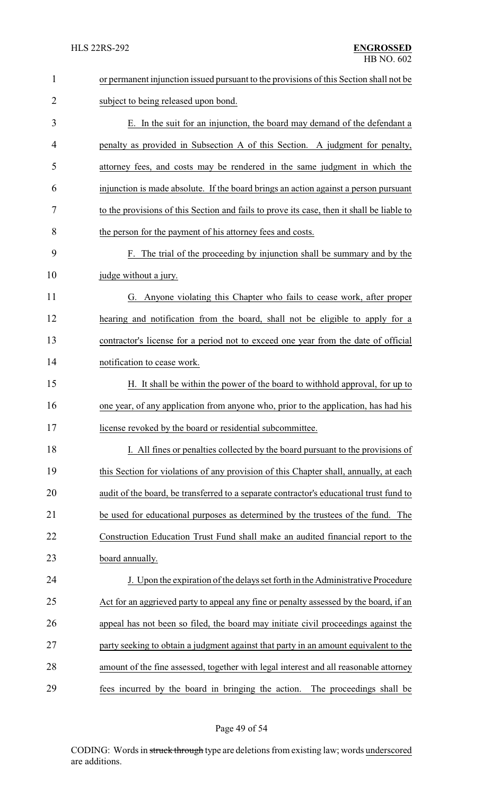| $\mathbf{1}$   | or permanent injunction issued pursuant to the provisions of this Section shall not be    |  |  |
|----------------|-------------------------------------------------------------------------------------------|--|--|
| $\overline{2}$ | subject to being released upon bond.                                                      |  |  |
| 3              | E. In the suit for an injunction, the board may demand of the defendant a                 |  |  |
| 4              | penalty as provided in Subsection A of this Section. A judgment for penalty,              |  |  |
| 5              | attorney fees, and costs may be rendered in the same judgment in which the                |  |  |
| 6              | injunction is made absolute. If the board brings an action against a person pursuant      |  |  |
| 7              | to the provisions of this Section and fails to prove its case, then it shall be liable to |  |  |
| 8              | the person for the payment of his attorney fees and costs.                                |  |  |
| 9              | F. The trial of the proceeding by injunction shall be summary and by the                  |  |  |
| 10             | judge without a jury.                                                                     |  |  |
| 11             | G. Anyone violating this Chapter who fails to cease work, after proper                    |  |  |
| 12             | hearing and notification from the board, shall not be eligible to apply for a             |  |  |
| 13             | contractor's license for a period not to exceed one year from the date of official        |  |  |
| 14             | notification to cease work.                                                               |  |  |
| 15             | H. It shall be within the power of the board to withhold approval, for up to              |  |  |
| 16             | one year, of any application from anyone who, prior to the application, has had his       |  |  |
| 17             | license revoked by the board or residential subcommittee.                                 |  |  |
| 18             | I. All fines or penalties collected by the board pursuant to the provisions of            |  |  |
| 19             | this Section for violations of any provision of this Chapter shall, annually, at each     |  |  |
| 20             | audit of the board, be transferred to a separate contractor's educational trust fund to   |  |  |
| 21             | be used for educational purposes as determined by the trustees of the fund. The           |  |  |
| 22             | Construction Education Trust Fund shall make an audited financial report to the           |  |  |
| 23             | board annually.                                                                           |  |  |
| 24             | J. Upon the expiration of the delays set forth in the Administrative Procedure            |  |  |
| 25             | Act for an aggrieved party to appeal any fine or penalty assessed by the board, if an     |  |  |
| 26             | appeal has not been so filed, the board may initiate civil proceedings against the        |  |  |
| 27             | party seeking to obtain a judgment against that party in an amount equivalent to the      |  |  |
| 28             | amount of the fine assessed, together with legal interest and all reasonable attorney     |  |  |
| 29             | fees incurred by the board in bringing the action. The proceedings shall be               |  |  |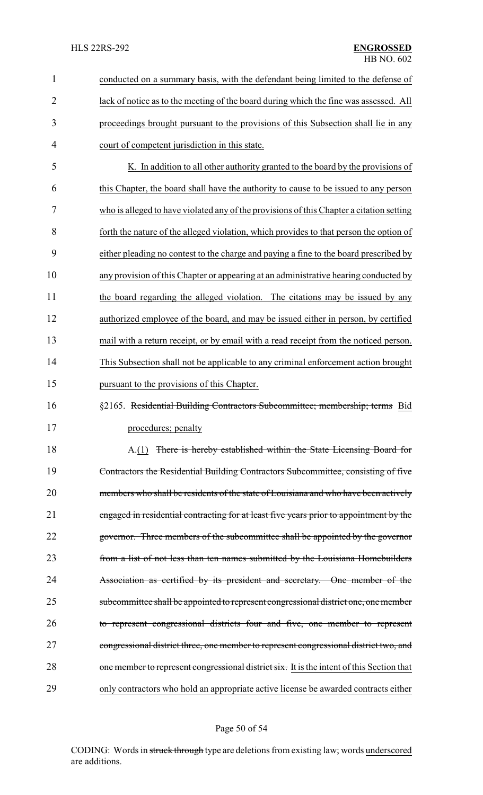| $\mathbf{1}$ | conducted on a summary basis, with the defendant being limited to the defense of          |
|--------------|-------------------------------------------------------------------------------------------|
| 2            | lack of notice as to the meeting of the board during which the fine was assessed. All     |
| 3            | proceedings brought pursuant to the provisions of this Subsection shall lie in any        |
| 4            | court of competent jurisdiction in this state.                                            |
| 5            | K. In addition to all other authority granted to the board by the provisions of           |
| 6            | this Chapter, the board shall have the authority to cause to be issued to any person      |
| 7            | who is alleged to have violated any of the provisions of this Chapter a citation setting  |
| 8            | forth the nature of the alleged violation, which provides to that person the option of    |
| 9            | either pleading no contest to the charge and paying a fine to the board prescribed by     |
| 10           | any provision of this Chapter or appearing at an administrative hearing conducted by      |
| 11           | the board regarding the alleged violation. The citations may be issued by any             |
| 12           | authorized employee of the board, and may be issued either in person, by certified        |
| 13           | mail with a return receipt, or by email with a read receipt from the noticed person.      |
| 14           | This Subsection shall not be applicable to any criminal enforcement action brought        |
| 15           | pursuant to the provisions of this Chapter.                                               |
| 16           | §2165. Residential Building Contractors Subcommittee; membership; terms Bid               |
| 17           | procedures; penalty                                                                       |
| 18           | A.(1) There is hereby established within the State Licensing Board for                    |
| 19           | Contractors the Residential Building Contractors Subcommittee, consisting of five         |
| 20           | members who shall be residents of the state of Louisiana and who have been actively       |
| 21           | engaged in residential contracting for at least five years prior to appointment by the    |
| 22           | governor. Three members of the subcommittee shall be appointed by the governor            |
| 23           | from a list of not less than ten names submitted by the Louisiana Homebuilders            |
| 24           | Association as certified by its president and secretary. One member of the                |
| 25           | subcommittee shall be appointed to represent congressional district one, one member       |
| 26           | to represent congressional districts four and five, one member to represent               |
| 27           | congressional district three, one member to represent congressional district two, and     |
| 28           | one member to represent congressional district six. It is the intent of this Section that |
| 29           | only contractors who hold an appropriate active license be awarded contracts either       |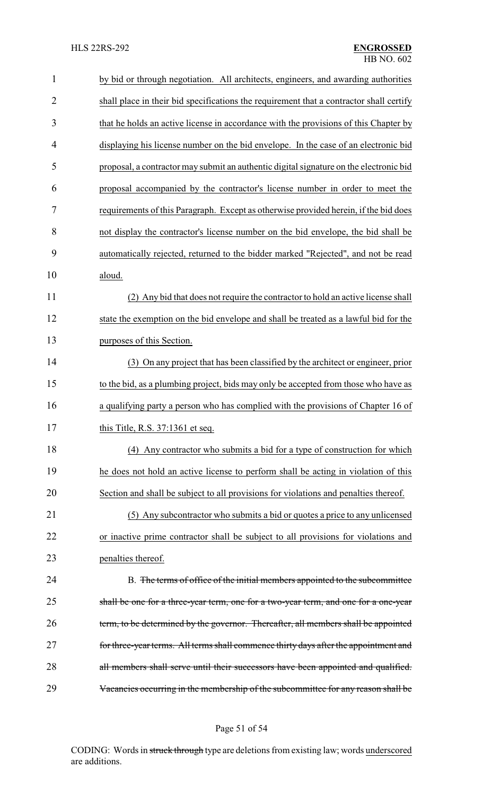| 1              | by bid or through negotiation. All architects, engineers, and awarding authorities      |  |
|----------------|-----------------------------------------------------------------------------------------|--|
| $\overline{2}$ | shall place in their bid specifications the requirement that a contractor shall certify |  |
| 3              | that he holds an active license in accordance with the provisions of this Chapter by    |  |
| 4              | displaying his license number on the bid envelope. In the case of an electronic bid     |  |
| 5              | proposal, a contractor may submit an authentic digital signature on the electronic bid  |  |
| 6              | proposal accompanied by the contractor's license number in order to meet the            |  |
| 7              | requirements of this Paragraph. Except as otherwise provided herein, if the bid does    |  |
| 8              | not display the contractor's license number on the bid envelope, the bid shall be       |  |
| 9              | automatically rejected, returned to the bidder marked "Rejected", and not be read       |  |
| 10             | aloud.                                                                                  |  |
| 11             | (2) Any bid that does not require the contractor to hold an active license shall        |  |
| 12             | state the exemption on the bid envelope and shall be treated as a lawful bid for the    |  |
| 13             | purposes of this Section.                                                               |  |
| 14             | (3) On any project that has been classified by the architect or engineer, prior         |  |
| 15             | to the bid, as a plumbing project, bids may only be accepted from those who have as     |  |
| 16             | a qualifying party a person who has complied with the provisions of Chapter 16 of       |  |
| 17             | this Title, R.S. 37:1361 et seq.                                                        |  |
| 18             | (4) Any contractor who submits a bid for a type of construction for which               |  |
| 19             | he does not hold an active license to perform shall be acting in violation of this      |  |
| 20             | Section and shall be subject to all provisions for violations and penalties thereof.    |  |
| 21             | (5) Any subcontractor who submits a bid or quotes a price to any unlicensed             |  |
| 22             | or inactive prime contractor shall be subject to all provisions for violations and      |  |
| 23             | penalties thereof.                                                                      |  |
| 24             | B. The terms of office of the initial members appointed to the subcommittee             |  |
| 25             | shall be one for a three-year term, one for a two-year term, and one for a one-year     |  |
| 26             | term, to be determined by the governor. Thereafter, all members shall be appointed      |  |
| 27             | for three-year terms. All terms shall commence thirty days after the appointment and    |  |
| 28             | all members shall serve until their successors have been appointed and qualified.       |  |
| 29             | Vacancies occurring in the membership of the subcommittee for any reason shall be       |  |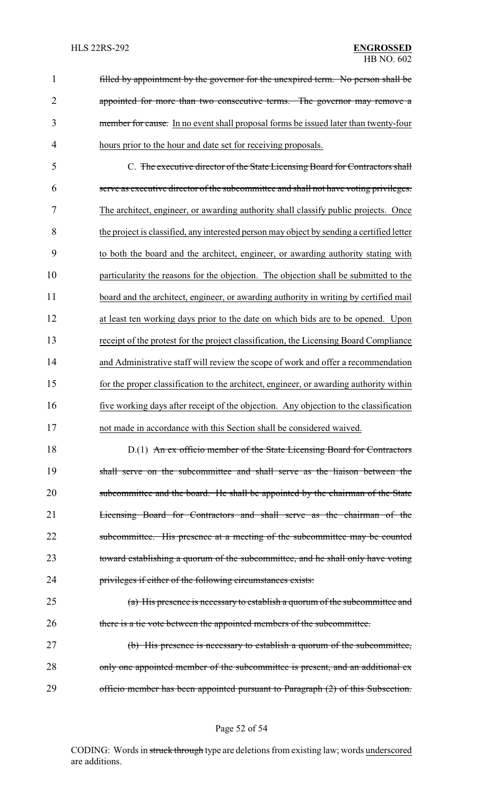filled by appointment by the governor for the unexpired term. No person shall be 2 appointed for more than two consecutive terms. The governor may remove a member for cause. In no event shall proposal forms be issued later than twenty-four hours prior to the hour and date set for receiving proposals.

 C. The executive director of the State Licensing Board for Contractors shall serve as executive director of the subcommittee and shall not have voting privileges. The architect, engineer, or awarding authority shall classify public projects. Once the project is classified, any interested person may object by sending a certified letter to both the board and the architect, engineer, or awarding authority stating with particularity the reasons for the objection. The objection shall be submitted to the 11 board and the architect, engineer, or awarding authority in writing by certified mail at least ten working days prior to the date on which bids are to be opened. Upon receipt of the protest for the project classification, the Licensing Board Compliance and Administrative staff will review the scope of work and offer a recommendation for the proper classification to the architect, engineer, or awarding authority within five working days after receipt of the objection. Any objection to the classification not made in accordance with this Section shall be considered waived.

18 D.(1) An ex officio member of the State Licensing Board for Contractors shall serve on the subcommittee and shall serve as the liaison between the 20 subcommittee and the board. He shall be appointed by the chairman of the State Licensing Board for Contractors and shall serve as the chairman of the 22 subcommittee. His presence at a meeting of the subcommittee may be counted toward establishing a quorum of the subcommittee, and he shall only have voting privileges if either of the following circumstances exists:

 (a) His presence is necessary to establish a quorum of the subcommittee and there is a tie vote between the appointed members of the subcommittee.

 (b) His presence is necessary to establish a quorum of the subcommittee, 28 only one appointed member of the subcommittee is present, and an additional ex-officio member has been appointed pursuant to Paragraph (2) of this Subsection.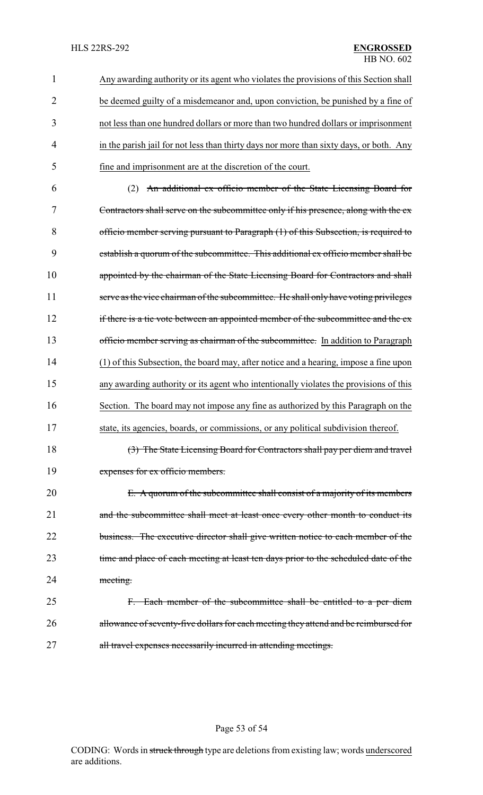Any awarding authority or its agent who violates the provisions of this Section shall be deemed guilty of a misdemeanor and, upon conviction, be punished by a fine of not less than one hundred dollars or more than two hundred dollars or imprisonment 4 in the parish jail for not less than thirty days nor more than sixty days, or both. Any fine and imprisonment are at the discretion of the court.

 (2) An additional ex officio member of the State Licensing Board for Contractors shall serve on the subcommittee only if his presence, along with the ex officio member serving pursuant to Paragraph (1) of this Subsection, is required to establish a quorum of the subcommittee. This additional ex officio member shall be 10 appointed by the chairman of the State Licensing Board for Contractors and shall 11 serve as the vice chairman of the subcommittee. He shall only have voting privileges 12 if there is a tie vote between an appointed member of the subcommittee and the ex-13 officio member serving as chairman of the subcommittee. In addition to Paragraph (1) of this Subsection, the board may, after notice and a hearing, impose a fine upon any awarding authority or its agent who intentionally violates the provisions of this Section. The board may not impose any fine as authorized by this Paragraph on the state, its agencies, boards, or commissions, or any political subdivision thereof.

18 (3) The State Licensing Board for Contractors shall pay per diem and travel 19 expenses for ex officio members.

20 E. A quorum of the subcommittee shall consist of a majority of its members 21 and the subcommittee shall meet at least once every other month to conduct its 22 business. The executive director shall give written notice to each member of the 23 time and place of each meeting at least ten days prior to the scheduled date of the 24 meeting.

25 F. Each member of the subcommittee shall be entitled to a per diem 26 allowance of seventy-five dollars for each meeting they attend and be reimbursed for 27 all travel expenses necessarily incurred in attending meetings.

#### Page 53 of 54